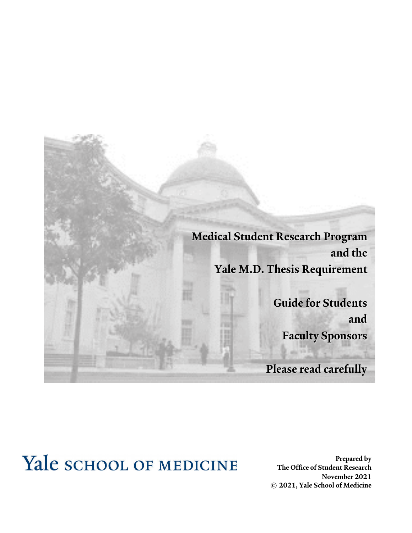

# Yale SCHOOL OF MEDICINE

**Prepared by The Office of Student Research November 2021 © 2021, Yale School of Medicine**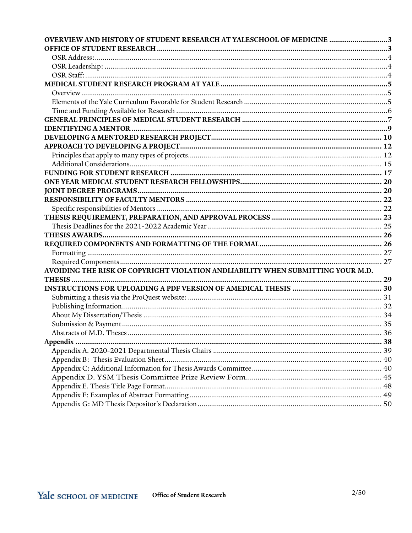| OVERVIEW AND HISTORY OF STUDENT RESEARCH AT YALESCHOOL OF MEDICINE 3            |  |
|---------------------------------------------------------------------------------|--|
|                                                                                 |  |
|                                                                                 |  |
|                                                                                 |  |
|                                                                                 |  |
|                                                                                 |  |
|                                                                                 |  |
|                                                                                 |  |
|                                                                                 |  |
|                                                                                 |  |
|                                                                                 |  |
|                                                                                 |  |
|                                                                                 |  |
|                                                                                 |  |
|                                                                                 |  |
|                                                                                 |  |
|                                                                                 |  |
|                                                                                 |  |
|                                                                                 |  |
|                                                                                 |  |
|                                                                                 |  |
|                                                                                 |  |
|                                                                                 |  |
|                                                                                 |  |
|                                                                                 |  |
|                                                                                 |  |
| AVOIDING THE RISK OF COPYRIGHT VIOLATION ANDLIABILITY WHEN SUBMITTING YOUR M.D. |  |
|                                                                                 |  |
|                                                                                 |  |
|                                                                                 |  |
|                                                                                 |  |
|                                                                                 |  |
|                                                                                 |  |
|                                                                                 |  |
|                                                                                 |  |
|                                                                                 |  |
|                                                                                 |  |
|                                                                                 |  |
|                                                                                 |  |
|                                                                                 |  |
|                                                                                 |  |
|                                                                                 |  |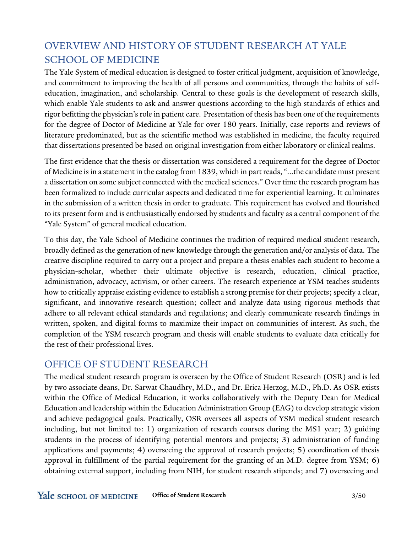# OVERVIEW AND HISTORY OF STUDENT RESEARCH AT YALE SCHOOL OF MEDICINE

The Yale System of medical education is designed to foster critical judgment, acquisition of knowledge, and commitment to improving the health of all persons and communities, through the habits of selfeducation, imagination, and scholarship. Central to these goals is the development of research skills, which enable Yale students to ask and answer questions according to the high standards of ethics and rigor befitting the physician's role in patient care. Presentation of thesis has been one of the requirements for the degree of Doctor of Medicine at Yale for over 180 years. Initially, case reports and reviews of literature predominated, but as the scientific method was established in medicine, the faculty required that dissertations presented be based on original investigation from either laboratory or clinical realms.

The first evidence that the thesis or dissertation was considered a requirement for the degree of Doctor of Medicine is in a statement in the catalog from 1839, which in part reads, "...the candidate must present a dissertation on some subject connected with the medical sciences." Over time the research program has been formalized to include curricular aspects and dedicated time for experiential learning. It culminates in the submission of a written thesis in order to graduate. This requirement has evolved and flourished to its present form and is enthusiastically endorsed by students and faculty as a central component of the "Yale System" of general medical education.

To this day, the Yale School of Medicine continues the tradition of required medical student research, broadly defined as the generation of new knowledge through the generation and/or analysis of data. The creative discipline required to carry out a project and prepare a thesis enables each student to become a physician-scholar, whether their ultimate objective is research, education, clinical practice, administration, advocacy, activism, or other careers. The research experience at YSM teaches students how to critically appraise existing evidence to establish a strong premise for their projects; specify a clear, significant, and innovative research question; collect and analyze data using rigorous methods that adhere to all relevant ethical standards and regulations; and clearly communicate research findings in written, spoken, and digital forms to maximize their impact on communities of interest. As such, the completion of the YSM research program and thesis will enable students to evaluate data critically for the rest of their professional lives.

### OFFICE OF STUDENT RESEARCH

The medical student research program is overseen by the Office of Student Research (OSR) and is led by two associate deans, Dr. Sarwat Chaudhry, M.D., and Dr. Erica Herzog, M.D., Ph.D. As OSR exists within the Office of Medical Education, it works collaboratively with the Deputy Dean for Medical Education and leadership within the Education Administration Group (EAG) to develop strategic vision and achieve pedagogical goals. Practically, OSR oversees all aspects of YSM medical student research including, but not limited to: 1) organization of research courses during the MS1 year; 2) guiding students in the process of identifying potential mentors and projects; 3) administration of funding applications and payments; 4) overseeing the approval of research projects; 5) coordination of thesis approval in fulfillment of the partial requirement for the granting of an M.D. degree from YSM; 6) obtaining external support, including from NIH, for student research stipends; and 7) overseeing and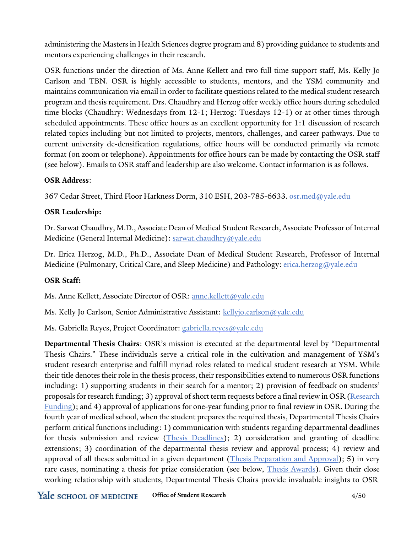administering the Masters in Health Sciences degree program and 8) providing guidance to students and mentors experiencing challenges in their research.

OSR functions under the direction of Ms. Anne Kellett and two full time support staff, Ms. Kelly Jo Carlson and TBN. OSR is highly accessible to students, mentors, and the YSM community and maintains communication via email in order to facilitate questions related to the medical student research program and thesis requirement. Drs. Chaudhry and Herzog offer weekly office hours during scheduled time blocks (Chaudhry: Wednesdays from 12-1; Herzog: Tuesdays 12-1) or at other times through scheduled appointments. These office hours as an excellent opportunity for 1:1 discussion of research related topics including but not limited to projects, mentors, challenges, and career pathways. Due to current university de-densification regulations, office hours will be conducted primarily via remote format (on zoom or telephone). Appointments for office hours can be made by contacting the OSR staff (see below). Emails to OSR staff and leadership are also welcome. Contact information is as follows.

#### **OSR Address**:

367 Cedar Street, Third Floor Harkness Dorm, 310 ESH, 203-785-6633. [osr.med@yale.edu](mailto:osr.med@yale.edu)

### **OSR Leadership:**

Dr. Sarwat Chaudhry, M.D., Associate Dean of Medical Student Research, Associate Professor of Internal Medicine (General Internal Medicine): [sarwat.chaudhry@yale.edu](mailto:sarwat.chaudhry@yale.edu)

Dr. Erica Herzog, M.D., Ph.D., Associate Dean of Medical Student Research, Professor of Internal Medicine (Pulmonary, Critical Care, and Sleep Medicine) and Pathology: [erica.herzog@yale.edu](mailto:erica.herzog@yale.edu)

#### **OSR Staff:**

Ms. Anne Kellett, Associate Director of OSR: [anne.kellett@yale.edu](mailto:anne.kellett@yale.edu)

Ms. Kelly Jo Carlson, Senior Administrative Assistant: [kellyjo.carlson@yale.edu](mailto:kellyjo.carlson@yale.edu)

Ms. Gabriella Reyes, Project Coordinator: [gabriella.reyes@yale.edu](mailto:gabriella.reyes@yale.edu)

**Departmental Thesis Chairs**: OSR's mission is executed at the departmental level by "Departmental Thesis Chairs." These individuals serve a critical role in the cultivation and management of YSM's student research enterprise and fulfill myriad roles related to medical student research at YSM. While their title denotes their role in the thesis process, their responsibilities extend to numerous OSR functions including: 1) supporting students in their search for a mentor; 2) provision of feedback on students' proposals for research funding; 3) approval of short term requests before a final review in OSR (Research Funding); and 4) approval of applications for one-year funding prior to final review in OSR. During the fourth year of medical school, when the student prepares the required thesis, Departmental Thesis Chairs perform critical functions including: 1) communication with students regarding departmental deadlines for thesis submission and review (Thesis Deadlines); 2) consideration and granting of deadline extensions; 3) coordination of the departmental thesis review and approval process; 4) review and approval of all theses submitted in a given department (Thesis Preparation and Approval); 5) in very rare cases, nominating a thesis for prize consideration (see below, Thesis Awards). Given their close working relationship with students, Departmental Thesis Chairs provide invaluable insights to OSR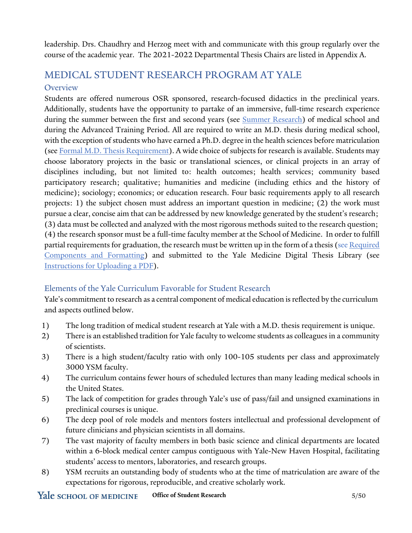leadership. Drs. Chaudhry and Herzog meet with and communicate with this group regularly over the course of the academic year. The 2021-2022 Departmental Thesis Chairs are listed in Appendix A.

### MEDICAL STUDENT RESEARCH PROGRAM AT YALE **Overview**

Students are offered numerous OSR sponsored, research-focused didactics in the preclinical years. Additionally, students have the opportunity to partake of an immersive, full-time research experience during the summer between the first and second years (see Summer Research) of medical school and during the Advanced Training Period. All are required to write an M.D. thesis during medical school, with the exception of students who have earned a Ph.D. degree in the health sciences before matriculation (see Formal M.D. Thesis Requirement). A wide choice of subjects for research is available. Students may choose laboratory projects in the basic or translational sciences, or clinical projects in an array of disciplines including, but not limited to: health outcomes; health services; community based participatory research; qualitative; humanities and medicine (including ethics and the history of medicine); sociology; economics; or education research. Four basic requirements apply to all research projects: 1) the subject chosen must address an important question in medicine; (2) the work must pursue a clear, concise aim that can be addressed by new knowledge generated by the student's research; (3) data must be collected and analyzed with the most rigorous methods suited to the research question; (4) the research sponsor must be a full-time faculty member at the School of Medicine. In order to fulfill partial requirements for graduation, the research must be written up in the form of a thesis (see Required Components and Formatting) and submitted to the Yale Medicine Digital Thesis Library (see Instructions for Uploading a PDF).

### Elements of the Yale Curriculum Favorable for Student Research

Yale's commitment to research as a central component of medical education is reflected by the curriculum and aspects outlined below.

- 1) The long tradition of medical student research at Yale with a M.D. thesis requirement is unique.
- 2) There is an established tradition for Yale faculty to welcome students as colleagues in a community of scientists.
- 3) There is a high student/faculty ratio with only 100-105 students per class and approximately 3000 YSM faculty.
- 4) The curriculum contains fewer hours of scheduled lectures than many leading medical schools in the United States.
- 5) The lack of competition for grades through Yale's use of pass/fail and unsigned examinations in preclinical courses is unique.
- 6) The deep pool of role models and mentors fosters intellectual and professional development of future clinicians and physician scientists in all domains.
- 7) The vast majority of faculty members in both basic science and clinical departments are located within a 6-block medical center campus contiguous with Yale-New Haven Hospital, facilitating students' access to mentors, laboratories, and research groups.
- 8) YSM recruits an outstanding body of students who at the time of matriculation are aware of the expectations for rigorous, reproducible, and creative scholarly work.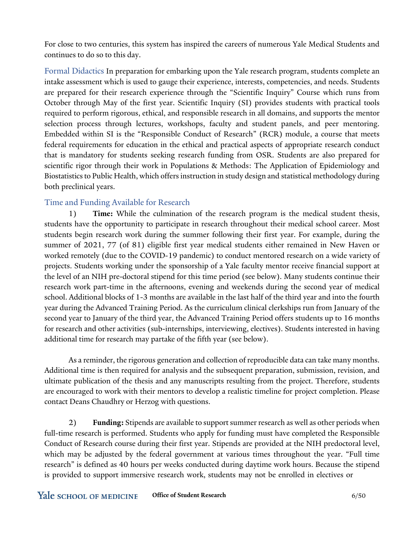For close to two centuries, this system has inspired the careers of numerous Yale Medical Students and continues to do so to this day.

Formal Didactics In preparation for embarking upon the Yale research program, students complete an intake assessment which is used to gauge their experience, interests, competencies, and needs. Students are prepared for their research experience through the "Scientific Inquiry" Course which runs from October through May of the first year. Scientific Inquiry (SI) provides students with practical tools required to perform rigorous, ethical, and responsible research in all domains, and supports the mentor selection process through lectures, workshops, faculty and student panels, and peer mentoring. Embedded within SI is the "Responsible Conduct of Research" (RCR) module, a course that meets federal requirements for education in the ethical and practical aspects of appropriate research conduct that is mandatory for students seeking research funding from OSR. Students are also prepared for scientific rigor through their work in Populations & Methods: The Application of Epidemiology and Biostatistics to Public Health, which offers instruction in study design and statistical methodology during both preclinical years.

### Time and Funding Available for Research

1) **Time:** While the culmination of the research program is the medical student thesis, students have the opportunity to participate in research throughout their medical school career. Most students begin research work during the summer following their first year. For example, during the summer of 2021, 77 (of 81) eligible first year medical students either remained in New Haven or worked remotely (due to the COVID-19 pandemic) to conduct mentored research on a wide variety of projects. Students working under the sponsorship of a Yale faculty mentor receive financial support at the level of an NIH pre-doctoral stipend for this time period (see below). Many students continue their research work part-time in the afternoons, evening and weekends during the second year of medical school. Additional blocks of 1-3 months are available in the last half of the third year and into the fourth year during the Advanced Training Period. As the curriculum clinical clerkships run from January of the second year to January of the third year, the Advanced Training Period offers students up to 16 months for research and other activities (sub-internships, interviewing, electives). Students interested in having additional time for research may partake of the fifth year (see below).

As a reminder, the rigorous generation and collection of reproducible data can take many months. Additional time is then required for analysis and the subsequent preparation, submission, revision, and ultimate publication of the thesis and any manuscripts resulting from the project. Therefore, students are encouraged to work with their mentors to develop a realistic timeline for project completion. Please contact Deans Chaudhry or Herzog with questions.

2) **Funding:** Stipends are available to supportsummer research as well as other periods when full-time research is performed. Students who apply for funding must have completed the Responsible Conduct of Research course during their first year. Stipends are provided at the NIH predoctoral level, which may be adjusted by the federal government at various times throughout the year. "Full time research" is defined as 40 hours per weeks conducted during daytime work hours. Because the stipend is provided to support immersive research work, students may not be enrolled in electives or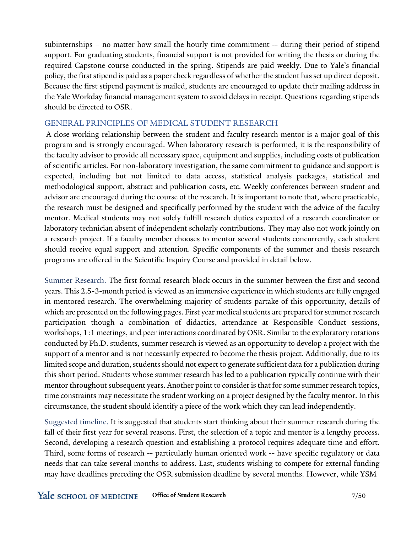subinternships – no matter how small the hourly time commitment -- during their period of stipend support. For graduating students, financial support is not provided for writing the thesis or during the required Capstone course conducted in the spring. Stipends are paid weekly. Due to Yale's financial policy, the first stipend is paid as a paper check regardless of whether the student has set up direct deposit. Because the first stipend payment is mailed, students are encouraged to update their mailing address in the Yale Workday financial management system to avoid delays in receipt. Questions regarding stipends should be directed to OSR.

#### GENERAL PRINCIPLES OF MEDICAL STUDENT RESEARCH

A close working relationship between the student and faculty research mentor is a major goal of this program and is strongly encouraged. When laboratory research is performed, it is the responsibility of the faculty advisor to provide all necessary space, equipment and supplies, including costs of publication of scientific articles. For non-laboratory investigation, the same commitment to guidance and support is expected, including but not limited to data access, statistical analysis packages, statistical and methodological support, abstract and publication costs, etc. Weekly conferences between student and advisor are encouraged during the course of the research. It is important to note that, where practicable, the research must be designed and specifically performed by the student with the advice of the faculty mentor. Medical students may not solely fulfill research duties expected of a research coordinator or laboratory technician absent of independent scholarly contributions. They may also not work jointly on a research project. If a faculty member chooses to mentor several students concurrently, each student should receive equal support and attention. Specific components of the summer and thesis research programs are offered in the Scientific Inquiry Course and provided in detail below.

Summer Research. The first formal research block occurs in the summer between the first and second years. This 2.5-3-month period is viewed as an immersive experience in which students are fully engaged in mentored research. The overwhelming majority of students partake of this opportunity, details of which are presented on the following pages. First year medical students are prepared for summer research participation though a combination of didactics, attendance at Responsible Conduct sessions, workshops, 1:1 meetings, and peer interactions coordinated by OSR. Similar to the exploratory rotations conducted by Ph.D. students, summer research is viewed as an opportunity to develop a project with the support of a mentor and is not necessarily expected to become the thesis project. Additionally, due to its limited scope and duration, students should not expect to generate sufficient data for a publication during this short period. Students whose summer research has led to a publication typically continue with their mentor throughout subsequent years. Another point to consider isthat for some summer research topics, time constraints may necessitate the student working on a project designed by the faculty mentor. In this circumstance, the student should identify a piece of the work which they can lead independently.

Suggested timeline. It is suggested that students start thinking about their summer research during the fall of their first year for several reasons. First, the selection of a topic and mentor is a lengthy process. Second, developing a research question and establishing a protocol requires adequate time and effort. Third, some forms of research -- particularly human oriented work -- have specific regulatory or data needs that can take several months to address. Last, students wishing to compete for external funding may have deadlines preceding the OSR submission deadline by several months. However, while YSM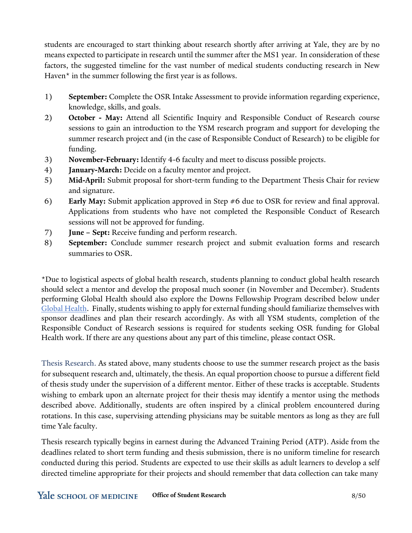students are encouraged to start thinking about research shortly after arriving at Yale, they are by no means expected to participate in research until the summer after the MS1 year. In consideration of these factors, the suggested timeline for the vast number of medical students conducting research in New Haven $*$  in the summer following the first year is as follows.

- 1) **September:** Complete the OSR Intake Assessment to provide information regarding experience, knowledge, skills, and goals.
- 2) **October - May:** Attend all Scientific Inquiry and Responsible Conduct of Research course sessions to gain an introduction to the YSM research program and support for developing the summer research project and (in the case of Responsible Conduct of Research) to be eligible for funding.
- 3) **November-February:** Identify 4-6 faculty and meet to discuss possible projects.
- 4) **January-March:** Decide on a faculty mentor and project.
- 5) **Mid-April:** Submit proposal for short-term funding to the Department Thesis Chair for review and signature.
- 6) **Early May:** Submit application approved in Step #6 due to OSR for review and final approval. Applications from students who have not completed the Responsible Conduct of Research sessions will not be approved for funding.
- 7) **June – Sept:** Receive funding and perform research.
- 8) **September:** Conclude summer research project and submit evaluation forms and research summaries to OSR.

\*Due to logistical aspects of global health research, students planning to conduct global health research should select a mentor and develop the proposal much sooner (in November and December). Students performing Global Health should also explore the Downs Fellowship Program described below under Global Health. Finally, students wishing to apply for external funding should familiarize themselves with sponsor deadlines and plan their research accordingly. As with all YSM students, completion of the Responsible Conduct of Research sessions is required for students seeking OSR funding for Global Health work. If there are any questions about any part of this timeline, please contact OSR.

Thesis Research. As stated above, many students choose to use the summer research project as the basis for subsequent research and, ultimately, the thesis. An equal proportion choose to pursue a different field of thesis study under the supervision of a different mentor. Either of these tracks is acceptable. Students wishing to embark upon an alternate project for their thesis may identify a mentor using the methods described above. Additionally, students are often inspired by a clinical problem encountered during rotations. In this case, supervising attending physicians may be suitable mentors as long as they are full time Yale faculty.

Thesis research typically begins in earnest during the Advanced Training Period (ATP). Aside from the deadlines related to short term funding and thesis submission, there is no uniform timeline for research conducted during this period. Students are expected to use their skills as adult learners to develop a self directed timeline appropriate for their projects and should remember that data collection can take many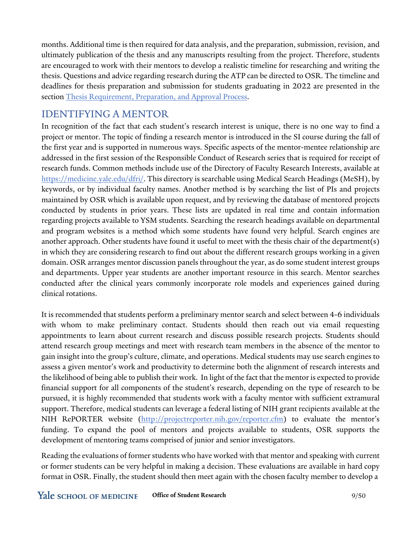months. Additional time is then required for data analysis, and the preparation, submission, revision, and ultimately publication of the thesis and any manuscripts resulting from the project. Therefore, students are encouraged to work with their mentors to develop a realistic timeline for researching and writing the thesis. Questions and advice regarding research during the ATP can be directed to OSR. The timeline and deadlines for thesis preparation and submission for students graduating in 2022 are presented in the section Thesis Requirement, Preparation, and Approval Process.

# IDENTIFYING A MENTOR

In recognition of the fact that each student's research interest is unique, there is no one way to find a project or mentor. The topic of finding a research mentor is introduced in the SI course during the fall of the first year and is supported in numerous ways. Specific aspects of the mentor-mentee relationship are addressed in the first session of the Responsible Conduct of Research series that is required for receipt of research funds. Common methods include use of the Directory of Faculty Research Interests, available at [https://medicine.yale.edu/dfri/.](https://medicine.yale.edu/dfri/) This directory is searchable using Medical Search Headings (MeSH), by keywords, or by individual faculty names. Another method is by searching the list of PIs and projects maintained by OSR which is available upon request, and by reviewing the database of mentored projects conducted by students in prior years. These lists are updated in real time and contain information regarding projects available to YSM students. Searching the research headings available on departmental and program websites is a method which some students have found very helpful. Search engines are another approach. Other students have found it useful to meet with the thesis chair of the department(s) in which they are considering research to find out about the different research groups working in a given domain. OSR arranges mentor discussion panels throughout the year, as do some student interest groups and departments. Upper year students are another important resource in this search. Mentor searches conducted after the clinical years commonly incorporate role models and experiences gained during clinical rotations.

It is recommended that students perform a preliminary mentor search and select between 4-6 individuals with whom to make preliminary contact. Students should then reach out via email requesting appointments to learn about current research and discuss possible research projects. Students should attend research group meetings and meet with research team members in the absence of the mentor to gain insight into the group's culture, climate, and operations. Medical students may use search engines to assess a given mentor's work and productivity to determine both the alignment of research interests and the likelihood of being able to publish their work. In light of the fact that the mentor is expected to provide financial support for all components of the student's research, depending on the type of research to be pursued, it is highly recommended that students work with a faculty mentor with sufficient extramural support. Therefore, medical students can leverage a federal listing of NIH grant recipients available at the NIH RePORTER website [\(http://projectreporter.nih.gov/reporter.cfm\)](http://projectreporter.nih.gov/reporter.cfm) to evaluate the mentor's funding. To expand the pool of mentors and projects available to students, OSR supports the development of mentoring teams comprised of junior and senior investigators.

Reading the evaluations of former students who have worked with that mentor and speaking with current or former students can be very helpful in making a decision. These evaluations are available in hard copy format in OSR. Finally, the student should then meet again with the chosen faculty member to develop a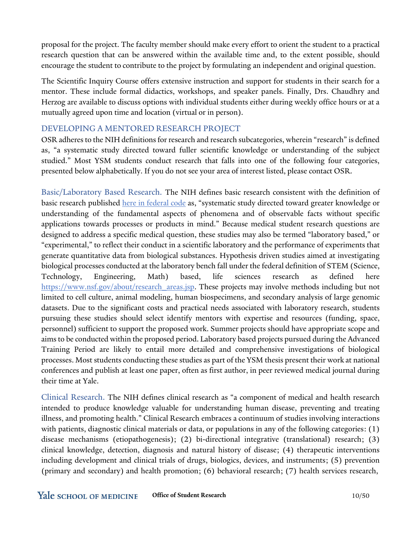proposal for the project. The faculty member should make every effort to orient the student to a practical research question that can be answered within the available time and, to the extent possible, should encourage the student to contribute to the project by formulating an independent and original question.

The Scientific Inquiry Course offers extensive instruction and support for students in their search for a mentor. These include formal didactics, workshops, and speaker panels. Finally, Drs. Chaudhry and Herzog are available to discuss options with individual students either during weekly office hours or at a mutually agreed upon time and location (virtual or in person).

#### DEVELOPING A MENTORED RESEARCH PROJECT

OSR adheres to the NIH definitions for research and research subcategories, wherein "research" is defined as, "a systematic study directed toward fuller scientific knowledge or understanding of the subject studied." Most YSM students conduct research that falls into one of the following four categories, presented below alphabetically. If you do not see your area of interest listed, please contact OSR.

Basic/Laboratory Based Research. The NIH defines basic research consistent with the definition of basic research published [here in federal code](https://www.govinfo.gov/app/details/CFR-2013-title32-vol2/CFR-2013-title32-vol2-sec272-3) as, "systematic study directed toward greater knowledge or understanding of the fundamental aspects of phenomena and of observable facts without specific applications towards processes or products in mind." Because medical student research questions are designed to address a specific medical question, these studies may also be termed "laboratory based," or "experimental," to reflect their conduct in a scientific laboratory and the performance of experiments that generate quantitative data from biological substances. Hypothesis driven studies aimed at investigating biological processes conducted at the laboratory bench fall under the federal definition of STEM (Science, Technology, Engineering, Math) based, life sciences research as defined here [https://www.nsf.gov/about/research\\_areas.jsp.](https://www.nsf.gov/about/research_areas.jsp) These projects may involve methods including but not limited to cell culture, animal modeling, human biospecimens, and secondary analysis of large genomic datasets. Due to the significant costs and practical needs associated with laboratory research, students pursuing these studies should select identify mentors with expertise and resources (funding, space, personnel) sufficient to support the proposed work. Summer projects should have appropriate scope and aimsto be conducted within the proposed period. Laboratory based projects pursued during the Advanced Training Period are likely to entail more detailed and comprehensive investigations of biological processes. Most students conducting these studies as part of the YSM thesis present their work at national conferences and publish at least one paper, often as first author, in peer reviewed medical journal during their time at Yale.

Clinical Research. The NIH defines clinical research as "a component of medical and health research intended to produce knowledge valuable for understanding human disease, preventing and treating illness, and promoting health." Clinical Research embraces a continuum of studies involving interactions with patients, diagnostic clinical materials or data, or populations in any of the following categories: (1) disease mechanisms (etiopathogenesis); (2) bi-directional integrative (translational) research; (3) clinical knowledge, detection, diagnosis and natural history of disease; (4) therapeutic interventions including development and clinical trials of drugs, biologics, devices, and instruments; (5) prevention (primary and secondary) and health promotion; (6) behavioral research; (7) health services research,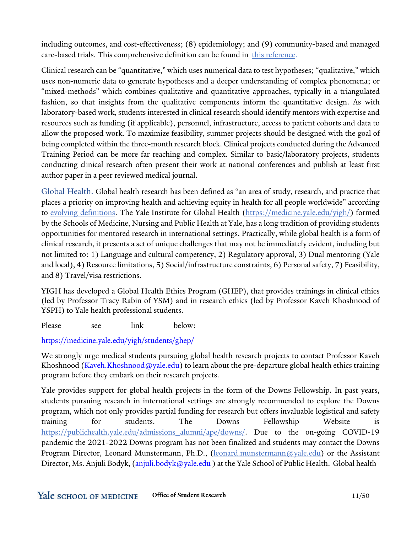including outcomes, and cost-effectiveness; (8) epidemiology; and (9) community-based and managed care-based trials. This comprehensive definition can be found in [this reference.](https://www.ncbi.nlm.nih.gov/books/NBK220717/)

Clinical research can be "quantitative," which uses numerical data to test hypotheses; "qualitative," which uses non-numeric data to generate hypotheses and a deeper understanding of complex phenomena; or "mixed-methods" which combines qualitative and quantitative approaches, typically in a triangulated fashion, so that insights from the qualitative components inform the quantitative design. As with laboratory-based work, students interested in clinical research should identify mentors with expertise and resources such as funding (if applicable), personnel, infrastructure, access to patient cohorts and data to allow the proposed work. To maximize feasibility, summer projects should be designed with the goal of being completed within the three-month research block. Clinical projects conducted during the Advanced Training Period can be more far reaching and complex. Similar to basic/laboratory projects, students conducting clinical research often present their work at national conferences and publish at least first author paper in a peer reviewed medical journal.

Global Health. Global health research has been defined as "an area of study, research, and practice that places a priority on improving health and achieving equity in health for all people worldwide" according to [evolving definitions.](https://www.thelancet.com/journals/lancet/article/PIIS0140-6736(09)60332-9/fulltext) The Yale Institute for Global Health [\(https://medicine.yale.edu/yigh/\)](https://medicine.yale.edu/yigh/) formed by the Schools of Medicine, Nursing and Public Health at Yale, has a long tradition of providing students opportunities for mentored research in international settings. Practically, while global health is a form of clinical research, it presents a set of unique challenges that may not be immediately evident, including but not limited to: 1) Language and cultural competency, 2) Regulatory approval, 3) Dual mentoring (Yale and local), 4) Resource limitations, 5) Social/infrastructure constraints, 6) Personal safety, 7) Feasibility, and 8) Travel/visa restrictions.

YIGH has developed a Global Health Ethics Program (GHEP), that provides trainings in clinical ethics (led by Professor Tracy Rabin of YSM) and in research ethics (led by Professor Kaveh Khoshnood of YSPH) to Yale health professional students.

Please see link below:

<https://medicine.yale.edu/yigh/students/ghep/>

We strongly urge medical students pursuing global health research projects to contact Professor Kaveh Khoshnood [\(Kaveh.Khoshnood@yale.edu\)](mailto:Kaveh.Khoshnood@yale.edu) to learn about the pre-departure global health ethics training program before they embark on their research projects.

Yale provides support for global health projects in the form of the Downs Fellowship. In past years, students pursuing research in international settings are strongly recommended to explore the Downs program, which not only provides partial funding for research but offers invaluable logistical and safety training for students. The Downs Fellowship Website is [https://publichealth.yale.edu/admissions\\_alumni/ape/downs/.](https://publichealth.yale.edu/admissions_alumni/ape/downs/) Due to the on-going COVID-19 pandemic the 2021-2022 Downs program has not been finalized and students may contact the Downs Program Director, Leonard Munstermann, Ph.D., [\(leonard.munstermann@yale.edu\)](mailto:leonard.munstermann@yale.edu) or the Assistant Director, Ms. Anjuli Bodyk,  $(anjuli.bodyk@yale.edu)$  $(anjuli.bodyk@yale.edu)$  at the Yale School of Public Health. Global health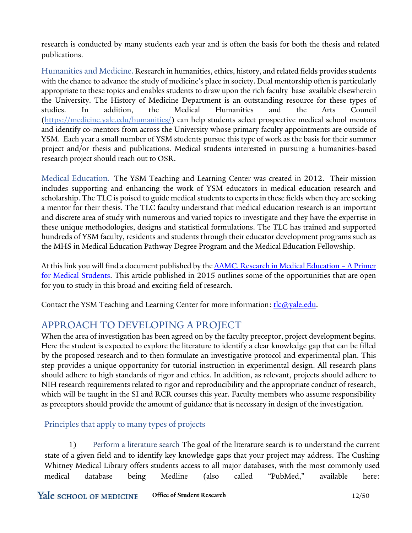research is conducted by many students each year and is often the basis for both the thesis and related publications.

Humanities and Medicine. Research in humanities, ethics, history, and related fields provides students with the chance to advance the study of medicine's place in society. Dual mentorship often is particularly appropriate to these topics and enables students to draw upon the rich faculty base available elsewherein the University. The History of Medicine Department is an outstanding resource for these types of studies. In addition, the Medical Humanities and the Arts Council [\(https://medicine.yale.edu/humanities/\)](https://medicine.yale.edu/humanities/) can help students select prospective medical school mentors and identify co-mentors from across the University whose primary faculty appointments are outside of YSM. Each year a small number of YSM students pursue this type of work as the basis for their summer project and/or thesis and publications. Medical students interested in pursuing a humanities-based research project should reach out to OSR.

Medical Education. The YSM Teaching and Learning Center was created in 2012. Their mission includes supporting and enhancing the work of YSM educators in medical education research and scholarship. The TLC is poised to guide medical students to experts in these fields when they are seeking a mentor for their thesis. The TLC faculty understand that medical education research is an important and discrete area of study with numerous and varied topics to investigate and they have the expertise in these unique methodologies, designs and statistical formulations. The TLC has trained and supported hundreds of YSM faculty, residents and students through their educator development programs such as the MHS in Medical Education Pathway Degree Program and the Medical Education Fellowship.

At this link you will find a document published by the **AAMC**, Research in Medical Education - A Primer [for Medical Students.](https://www.aamc.org/system/files/c/2/429856-mededresearchprimer.pdf) This article published in 2015 outlines some of the opportunities that are open for you to study in this broad and exciting field of research.

Contact the YSM Teaching and Learning Center for more information:  $tlc@yale.edu$ .

# APPROACH TO DEVELOPING A PROJECT

When the area of investigation has been agreed on by the faculty preceptor, project development begins. Here the student is expected to explore the literature to identify a clear knowledge gap that can be filled by the proposed research and to then formulate an investigative protocol and experimental plan. This step provides a unique opportunity for tutorial instruction in experimental design. All research plans should adhere to high standards of rigor and ethics. In addition, as relevant, projects should adhere to NIH research requirements related to rigor and reproducibility and the appropriate conduct of research, which will be taught in the SI and RCR courses this year. Faculty members who assume responsibility as preceptors should provide the amount of guidance that is necessary in design of the investigation.

### Principles that apply to many types of projects

1) Perform a literature search The goal of the literature search is to understand the current state of a given field and to identify key knowledge gaps that your project may address. The Cushing Whitney Medical Library offers students access to all major databases, with the most commonly used medical database being Medline (also called "PubMed," available here: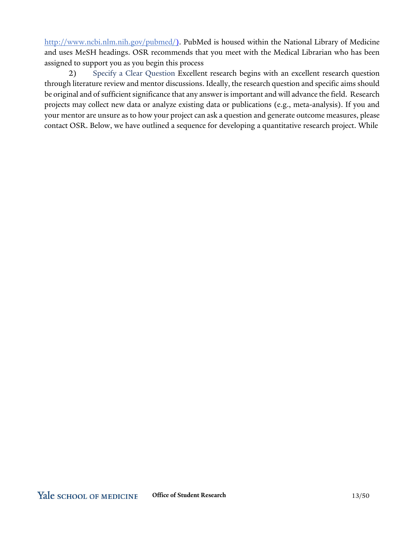[http://www.ncbi.nlm.nih.gov/pubmed/\)](http://www.ncbi.nlm.nih.gov/pubmed/). PubMed is housed within the National Library of Medicine and uses MeSH headings. OSR recommends that you meet with the Medical Librarian who has been assigned to support you as you begin this process

2) Specify a Clear Question Excellent research begins with an excellent research question through literature review and mentor discussions. Ideally, the research question and specific aims should be original and of sufficient significance that any answer is important and will advance the field. Research projects may collect new data or analyze existing data or publications (e.g., meta-analysis). If you and your mentor are unsure as to how your project can ask a question and generate outcome measures, please contact OSR. Below, we have outlined a sequence for developing a quantitative research project. While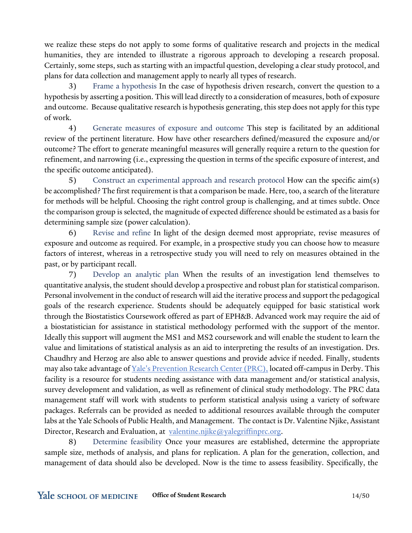we realize these steps do not apply to some forms of qualitative research and projects in the medical humanities, they are intended to illustrate a rigorous approach to developing a research proposal. Certainly, some steps, such as starting with an impactful question, developing a clear study protocol, and plans for data collection and management apply to nearly all types of research.

3) Frame a hypothesis In the case of hypothesis driven research, convert the question to a hypothesis by asserting a position. This will lead directly to a consideration of measures, both of exposure and outcome. Because qualitative research is hypothesis generating, this step does not apply for this type of work.

4) Generate measures of exposure and outcome This step is facilitated by an additional review of the pertinent literature. How have other researchers defined/measured the exposure and/or outcome? The effort to generate meaningful measures will generally require a return to the question for refinement, and narrowing (i.e., expressing the question in terms of the specific exposure of interest, and the specific outcome anticipated).

5) Construct an experimental approach and research protocol How can the specific aim(s) be accomplished? The first requirement is that a comparison be made. Here, too, a search of the literature for methods will be helpful. Choosing the right control group is challenging, and at times subtle. Once the comparison group is selected, the magnitude of expected difference should be estimated as a basis for determining sample size (power calculation).

6) Revise and refine In light of the design deemed most appropriate, revise measures of exposure and outcome as required. For example, in a prospective study you can choose how to measure factors of interest, whereas in a retrospective study you will need to rely on measures obtained in the past, or by participant recall.

7) Develop an analytic plan When the results of an investigation lend themselves to quantitative analysis, the student should develop a prospective and robust plan for statisticalcomparison. Personal involvement in the conduct of research will aid the iterative process and support the pedagogical goals of the research experience. Students should be adequately equipped for basic statistical work through the Biostatistics Coursework offered as part of EPH&B. Advanced work may require the aid of a biostatistician for assistance in statistical methodology performed with the support of the mentor. Ideally this support will augment the MS1 and MS2 coursework and will enable the student to learn the value and limitations of statistical analysis as an aid to interpreting the results of an investigation. Drs. Chaudhry and Herzog are also able to answer questions and provide advice if needed. Finally, students may also take advantage of Yale's [Prevention](https://yalegriffinprc.griffinhealth.org/) Research Center (PRC), located off-campus in Derby. This facility is a resource for students needing assistance with data management and/or statistical analysis, survey development and validation, as well as refinement of clinical study methodology. The PRC data management staff will work with students to perform statistical analysis using a variety of software packages. Referrals can be provided as needed to additional resources available through the computer labs at the Yale Schools of Public Health, and Management. The contact is Dr. Valentine Njike, Assistant Director, Research and Evaluation, at [valentine.njike@yalegriffinprc.org.](mailto:valentine.njike@yalegriffinprc.org)

8) Determine feasibility Once your measures are established, determine the appropriate sample size, methods of analysis, and plans for replication. A plan for the generation, collection, and management of data should also be developed. Now is the time to assess feasibility. Specifically, the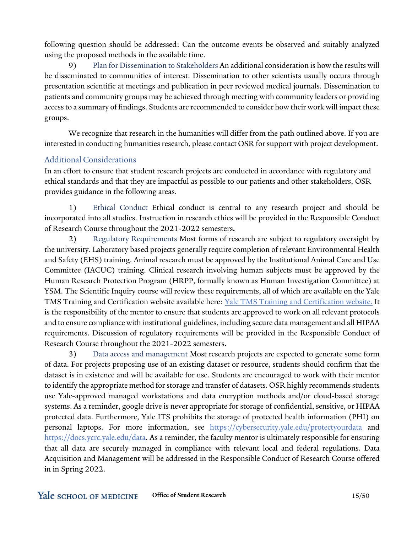following question should be addressed: Can the outcome events be observed and suitably analyzed using the proposed methods in the available time.

9) Plan for Dissemination to Stakeholders An additionalconsideration is how the results will be disseminated to communities of interest. Dissemination to other scientists usually occurs through presentation scientific at meetings and publication in peer reviewed medical journals. Dissemination to patients and community groups may be achieved through meeting with community leaders or providing access to a summary of findings. Students are recommended to consider how their work will impact these groups.

We recognize that research in the humanities will differ from the path outlined above. If you are interested in conducting humanities research, please contact OSR forsupport with project development.

### Additional Considerations

In an effort to ensure that student research projects are conducted in accordance with regulatory and ethical standards and that they are impactful as possible to our patients and other stakeholders, OSR provides guidance in the following areas.

1) Ethical Conduct Ethical conduct is central to any research project and should be incorporated into all studies. Instruction in research ethics will be provided in the Responsible Conduct of Research Course throughout the 2021-2022 semesters**.**

2) Regulatory Requirements Most forms of research are subject to regulatory oversight by the university. Laboratory based projects generally require completion of relevant Environmental Health and Safety (EHS) training. Animal research must be approved by the Institutional Animal Care and Use Committee (IACUC) training. Clinical research involving human subjects must be approved by the Human Research Protection Program (HRPP, formally known as Human Investigation Committee) at YSM. The Scientific Inquiry course will review these requirements, all of which are available on the Yale TMS Training and Certification website available here: Yale TMS Training and [Certification](https://your.yale.edu/work-yale/learn-and-grow/training/research-training) website. It is the responsibility of the mentor to ensure that students are approved to work on all relevant protocols and to ensure compliance with institutional guidelines, including secure data management and all HIPAA requirements. Discussion of regulatory requirements will be provided in the Responsible Conduct of Research Course throughout the 2021-2022 semesters**.**

3) Data access and management Most research projects are expected to generate some form of data. For projects proposing use of an existing dataset or resource, students should confirm that the dataset is in existence and will be available for use. Students are encouraged to work with their mentor to identify the appropriate method for storage and transfer of datasets. OSR highly recommends students use Yale-approved managed workstations and data encryption methods and/or cloud-based storage systems. As a reminder, google drive is never appropriate for storage of confidential, sensitive, or HIPAA protected data. Furthermore, Yale ITS prohibits the storage of protected health information (PHI) on personal laptops. For more information, see <https://cybersecurity.yale.edu/protectyourdata> and [https://docs.ycrc.yale.edu/data.](https://docs.ycrc.yale.edu/data) As a reminder, the faculty mentor is ultimately responsible for ensuring that all data are securely managed in compliance with relevant local and federal regulations. Data Acquisition and Management will be addressed in the Responsible Conduct of Research Course offered in in Spring 2022.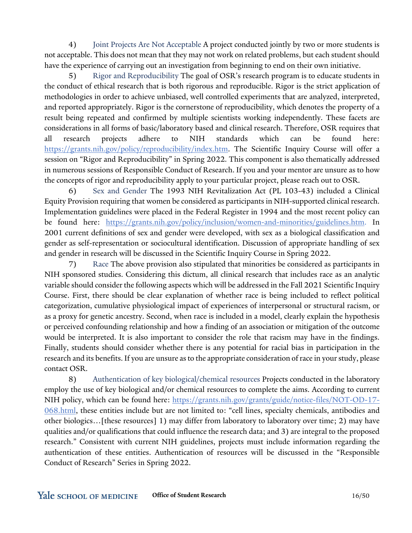4) Joint Projects Are Not Acceptable A project conducted jointly by two or more students is not acceptable. This does not mean that they may not work on related problems, but each student should have the experience of carrying out an investigation from beginning to end on their own initiative.

5) Rigor and Reproducibility The goal of OSR's research program is to educate students in the conduct of ethical research that is both rigorous and reproducible. Rigor is the strict application of methodologies in order to achieve unbiased, well controlled experiments that are analyzed, interpreted, and reported appropriately. Rigor is the cornerstone of reproducibility, which denotes the property of a result being repeated and confirmed by multiple scientists working independently. These facets are considerations in all forms of basic/laboratory based and clinical research. Therefore, OSR requires that all research projects adhere to NIH standards which can be found here: [https://grants.nih.gov/policy/reproducibility/index.htm.](https://grants.nih.gov/policy/reproducibility/index.htm) The Scientific Inquiry Course will offer a session on "Rigor and Reproducibility" in Spring 2022. This component is also thematically addressed in numerous sessions of Responsible Conduct of Research. If you and your mentor are unsure as to how the concepts of rigor and reproducibility apply to your particular project, please reach out to OSR.

6) Sex and Gender The 1993 NIH Revitalization Act (PL 103-43) included a Clinical Equity Provision requiring that women be considered as participants in NIH-supported clinical research. Implementation guidelines were placed in the Federal Register in 1994 and the most recent policy can be found here: [https://grants.nih.gov/policy/inclusion/women-and-minorities/guidelines.htm.](https://nam05.safelinks.protection.outlook.com/?url=https%3A%2F%2Fgrants.nih.gov%2Fpolicy%2Finclusion%2Fwomen-and-minorities%2Fguidelines.htm&data=02%7C01%7Cerica.herzog%40yale.edu%7C34aadf179547489a9bbf08d8657f156d%7Cdd8cbebb21394df8b4114e3e87abeb5c%7C0%7C0%7C637370944259542096&sdata=iGSoRZ6As2SbsXGPM5LCOL5cXxW4h3C7PI%2BbEeKsKFs%3D&reserved=0) In 2001 current definitions of sex and gender were developed, with sex as a biological classification and gender as self-representation or sociocultural identification. Discussion of appropriate handling of sex and gender in research will be discussed in the Scientific Inquiry Course in Spring 2022.

7) Race The above provision also stipulated that minorities be considered as participants in NIH sponsored studies. Considering this dictum, all clinical research that includes race as an analytic variable should consider the following aspects which will be addressed in the Fall 2021 Scientific Inquiry Course. First, there should be clear explanation of whether race is being included to reflect political categorization, cumulative physiological impact of experiences of interpersonal or structural racism, or as a proxy for genetic ancestry. Second, when race is included in a model, clearly explain the hypothesis or perceived confounding relationship and how a finding of an association or mitigation of the outcome would be interpreted. It is also important to consider the role that racism may have in the findings. Finally, students should consider whether there is any potential for racial bias in participation in the research and its benefits. If you are unsure as to the appropriate consideration of race in your study, please contact OSR.

8) Authentication of key biological/chemical resources Projects conducted in the laboratory employ the use of key biological and/or chemical resources to complete the aims. According to current NIH policy, which can be found here: [https://grants.nih.gov/grants/guide/notice-files/NOT-OD-17-](https://grants.nih.gov/grants/guide/notice-files/NOT-OD-17-068.html) [068.html,](https://grants.nih.gov/grants/guide/notice-files/NOT-OD-17-068.html) these entities include but are not limited to: "cell lines, specialty chemicals, antibodies and other biologics…[these resources] 1) may differ from laboratory to laboratory over time; 2) may have qualities and/or qualifications that could influence the research data; and 3) are integral to the proposed research." Consistent with current NIH guidelines, projects must include information regarding the authentication of these entities. Authentication of resources will be discussed in the "Responsible Conduct of Research" Series in Spring 2022.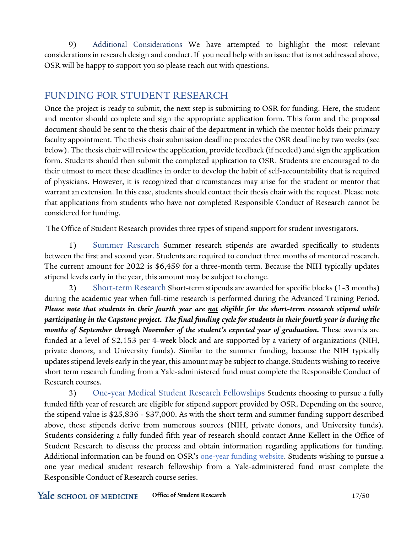9) Additional Considerations We have attempted to highlight the most relevant considerations in research design and conduct.If you need help with an issue that is not addressed above, OSR will be happy to support you so please reach out with questions.

# FUNDING FOR STUDENT RESEARCH

Once the project is ready to submit, the next step is submitting to OSR for funding. Here, the student and mentor should complete and sign the appropriate application form. This form and the proposal document should be sent to the thesis chair of the department in which the mentor holds their primary faculty appointment. The thesis chair submission deadline precedes the OSR deadline by two weeks (see below). The thesischair will review the application, provide feedback (if needed) and sign the application form. Students should then submit the completed application to OSR. Students are encouraged to do their utmost to meet these deadlines in order to develop the habit of self-accountability that is required of physicians. However, it is recognized that circumstances may arise for the student or mentor that warrant an extension. In this case, students should contact their thesis chair with the request. Please note that applications from students who have not completed Responsible Conduct of Research cannot be considered for funding.

The Office of Student Research provides three types of stipend support for student investigators.

1) Summer Research Summer research stipends are awarded specifically to students between the first and second year. Students are required to conduct three months of mentored research. The current amount for 2022 is \$6,459 for a three-month term. Because the NIH typically updates stipend levels early in the year, this amount may be subject to change.

2) Short-term Research Short-term stipends are awarded for specific blocks (1-3 months) during the academic year when full-time research is performed during the Advanced Training Period. *Please note that students in their fourth year are not eligible for the short-term research stipend while participating in the Capstone project. The final funding cycle for students in their fourth year is during the months of September through November of the student's expected year of graduation.* These awards are funded at a level of \$2,153 per 4-week block and are supported by a variety of organizations (NIH, private donors, and University funds). Similar to the summer funding, because the NIH typically updatesstipend levels early in the year, this amount may be subject to change. Students wishing to receive short term research funding from a Yale-administered fund must complete the Responsible Conduct of Research courses.

3) One-year Medical Student Research Fellowships Students choosing to pursue a fully funded fifth year of research are eligible for stipend support provided by OSR. Depending on the source, the stipend value is \$25,836 - \$37,000. As with the short term and summer funding support described above, these stipends derive from numerous sources (NIH, private donors, and University funds). Students considering a fully funded fifth year of research should contact Anne Kellett in the Office of Student Research to discuss the process and obtain information regarding applications for funding. Additional information can be found on OSR's [one-year](https://medicine.yale.edu/education/research/student/fundingop/oneyearfellowships/) funding website. Students wishing to pursue a one year medical student research fellowship from a Yale-administered fund must complete the Responsible Conduct of Research course series.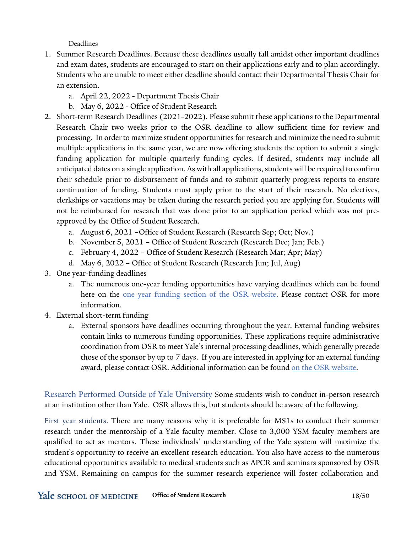Deadlines

- 1. Summer Research Deadlines. Because these deadlines usually fall amidst other important deadlines and exam dates, students are encouraged to start on their applications early and to plan accordingly. Students who are unable to meet either deadline should contact their Departmental Thesis Chair for an extension.
	- a. April 22, 2022 Department Thesis Chair
	- b. May 6, 2022 Office of Student Research
- 2. Short-term Research Deadlines (2021-2022). Please submit these applications to the Departmental Research Chair two weeks prior to the OSR deadline to allow sufficient time for review and processing. In orderto maximize student opportunities for research and minimize the need to submit multiple applications in the same year, we are now offering students the option to submit a single funding application for multiple quarterly funding cycles. If desired, students may include all anticipated dates on a single application. As with all applications, students will be required to confirm their schedule prior to disbursement of funds and to submit quarterly progress reports to ensure continuation of funding. Students must apply prior to the start of their research. No electives, clerkships or vacations may be taken during the research period you are applying for. Students will not be reimbursed for research that was done prior to an application period which was not preapproved by the Office of Student Research.
	- a. August 6, 2021 –Office of Student Research (Research Sep; Oct; Nov.)
	- b. November 5, 2021 Office of Student Research (Research Dec; Jan; Feb.)
	- c. February 4, 2022 Office of Student Research (Research Mar; Apr; May)
	- d. May 6, 2022 Office of Student Research (Research Jun; Jul, Aug)
- 3. One year-funding deadlines
	- a. The numerous one-year funding opportunities have varying deadlines which can be found here on the [one year funding section of the OSR website.](https://medicine.yale.edu/education/research/student/fundingop/oneyearfellowships/) Please contact OSR for more information.
- 4. External short-term funding
	- a. External sponsors have deadlines occurring throughout the year. External funding websites contain links to numerous funding opportunities. These applications require administrative coordination from OSR to meet Yale's internal processing deadlines, which generally precede those of the sponsor by up to 7 days. If you are interested in applying for an external funding award, please contact OSR. Additional information can be found on the OSR [website.](https://medicine.yale.edu/education/research/student/fundingop/shortterm/)

Research Performed Outside of Yale University Some students wish to conduct in-person research at an institution other than Yale. OSR allows this, but students should be aware of the following.

First year students. There are many reasons why it is preferable for MS1s to conduct their summer research under the mentorship of a Yale faculty member. Close to 3,000 YSM faculty members are qualified to act as mentors. These individuals' understanding of the Yale system will maximize the student's opportunity to receive an excellent research education. You also have access to the numerous educational opportunities available to medical students such as APCR and seminars sponsored by OSR and YSM. Remaining on campus for the summer research experience will foster collaboration and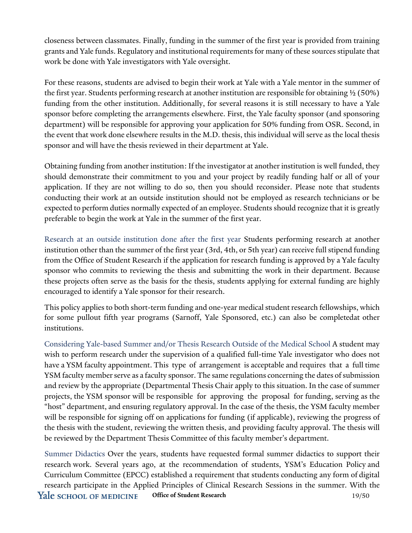closeness between classmates. Finally, funding in the summer of the first year is provided from training grants and Yale funds. Regulatory and institutional requirements for many of these sourcesstipulate that work be done with Yale investigators with Yale oversight.

For these reasons, students are advised to begin their work at Yale with a Yale mentor in the summer of the first year. Students performing research at another institution are responsible for obtaining ½ (50%) funding from the other institution. Additionally, for several reasons it is still necessary to have a Yale sponsor before completing the arrangements elsewhere. First, the Yale faculty sponsor (and sponsoring department) will be responsible for approving your application for 50% funding from OSR. Second, in the event that work done elsewhere results in the M.D. thesis, this individual will serve as the local thesis sponsor and will have the thesis reviewed in their department at Yale.

Obtaining funding from another institution: If the investigator at another institution is well funded, they should demonstrate their commitment to you and your project by readily funding half or all of your application. If they are not willing to do so, then you should reconsider. Please note that students conducting their work at an outside institution should not be employed as research technicians or be expected to perform duties normally expected of an employee. Students should recognize that it is greatly preferable to begin the work at Yale in the summer of the first year.

Research at an outside institution done after the first year Students performing research at another institution other than the summer of the first year (3rd, 4th, or 5th year) can receive full stipend funding from the Office of Student Research if the application for research funding is approved by a Yale faculty sponsor who commits to reviewing the thesis and submitting the work in their department. Because these projects often serve as the basis for the thesis, students applying for external funding are highly encouraged to identify a Yale sponsor for their research.

This policy applies to both short-term funding and one-year medical student research fellowships, which for some pullout fifth year programs (Sarnoff, Yale Sponsored, etc.) can also be completedat other institutions.

Considering Yale-based Summer and/or Thesis Research Outside of the Medical School A student may wish to perform research under the supervision of a qualified full-time Yale investigator who does not have a YSM faculty appointment. This type of arrangement is acceptable and requires that a full time YSM faculty member serve as a faculty sponsor. The same regulations concerning the dates of submission and review by the appropriate (Departmental Thesis Chair apply to this situation. In the case of summer projects, the YSM sponsor will be responsible for approving the proposal for funding, serving as the "host" department, and ensuring regulatory approval. In the case of the thesis, the YSM faculty member will be responsible for signing off on applications for funding (if applicable), reviewing the progress of the thesis with the student, reviewing the written thesis, and providing faculty approval. The thesis will be reviewed by the Department Thesis Committee of this faculty member's department.

Summer Didactics Over the years, students have requested formal summer didactics to support their research work. Several years ago, at the recommendation of students, YSM's Education Policy and Curriculum Committee (EPCC) established a requirement that students conducting any form of digital research participate in the Applied Principles of Clinical Research Sessions in the summer. With the Yale school of medicine **Office of Student Research** 19/50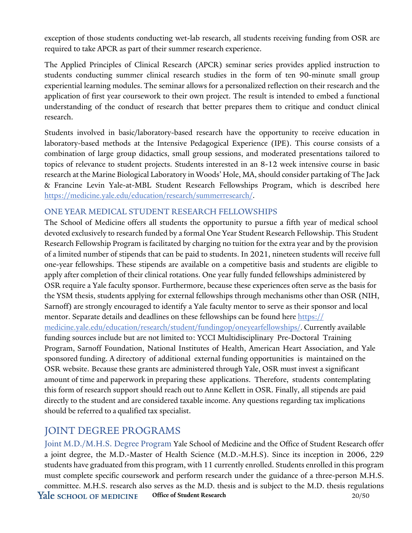exception of those students conducting wet-lab research, all students receiving funding from OSR are required to take APCR as part of their summer research experience.

The Applied Principles of Clinical Research (APCR) seminar series provides applied instruction to students conducting summer clinical research studies in the form of ten 90-minute small group experiential learning modules. The seminar allows for a personalized reflection on their research and the application of first year coursework to their own project. The result is intended to embed a functional understanding of the conduct of research that better prepares them to critique and conduct clinical research.

Students involved in basic/laboratory-based research have the opportunity to receive education in laboratory-based methods at the Intensive Pedagogical Experience (IPE). This course consists of a combination of large group didactics, small group sessions, and moderated presentations tailored to topics of relevance to student projects. Students interested in an 8-12 week intensive course in basic research at the Marine Biological Laboratory in Woods' Hole, MA, should consider partaking of The Jack & Francine Levin Yale-at-MBL Student Research Fellowships Program, which is described here [https://medicine.yale.edu/education/research/summerresearch/.](https://medicine.yale.edu/education/research/summerresearch/)

#### ONE YEAR MEDICAL STUDENT RESEARCH FELLOWSHIPS

The School of Medicine offers all students the opportunity to pursue a fifth year of medical school devoted exclusively to research funded by a formal One Year Student Research Fellowship. This Student Research Fellowship Program is facilitated by charging no tuition for the extra year and by the provision of a limited number of stipends that can be paid to students. In 2021, nineteen students will receive full one-year fellowships. These stipends are available on a competitive basis and students are eligible to apply after completion of their clinical rotations. One year fully funded fellowships administered by OSR require a Yale faculty sponsor. Furthermore, because these experiences often serve as the basis for the YSM thesis, students applying for external fellowships through mechanisms other than OSR (NIH, Sarnoff) are strongly encouraged to identify a Yale faculty mentor to serve as their sponsor and local mentor. [Separate details and deadlines on these fellowships can be](https://medicine.yale.edu/education/research/student/fundingop/oneyearfellowships/) found here https:// [medicine.yale.edu/education/research/student/fundingop/oneyearfellowships/](https://medicine.yale.edu/education/research/student/fundingop/oneyearfellowships/). Currently available funding sources include but are not limited to: YCCI Multidisciplinary Pre-Doctoral Training Program, Sarnoff Foundation, National Institutes of Health, American Heart Association, and Yale sponsored funding. A directory of additional external funding opportunities is maintained on the OSR website. Because these grants are administered through Yale, OSR must invest a significant amount of time and paperwork in preparing these applications. Therefore, students contemplating this form of research support should reach out to Anne Kellett in OSR. Finally, all stipends are paid directly to the student and are considered taxable income. Any questions regarding tax implications should be referred to a qualified tax specialist.

# JOINT DEGREE PROGRAMS

Joint M.D./M.H.S. Degree Program Yale School of Medicine and the Office of Student Research offer a joint degree, the M.D.-Master of Health Science (M.D.-M.H.S). Since its inception in 2006, 229 students have graduated from this program, with 11 currently enrolled. Students enrolled in this program must complete specific coursework and perform research under the guidance of a three-person M.H.S. committee. M.H.S. research also serves as the M.D. thesis and is subject to the M.D. thesis regulations Yale school of MEDICINE **Office of Student Research** 20/50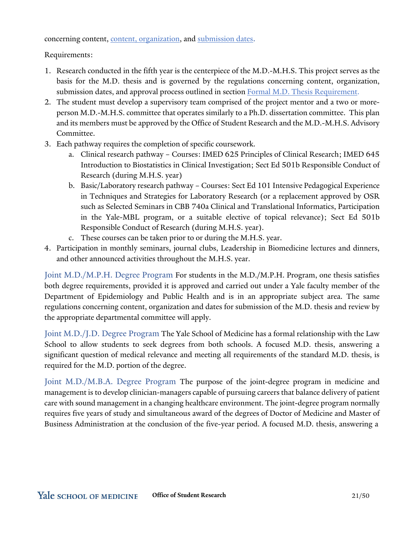concerning content, content, organization, and submission dates.

Requirements:

- 1. Research conducted in the fifth year is the centerpiece of the M.D.-M.H.S. This project serves as the basis for the M.D. thesis and is governed by the regulations concerning content, organization, submission dates, and approval process outlined in section Formal M.D. Thesis Requirement.
- 2. The student must develop a supervisory team comprised of the project mentor and a two or moreperson M.D.-M.H.S. committee that operates similarly to a Ph.D. dissertation committee. This plan and its members must be approved by the Office of Student Research and the M.D.-M.H.S. Advisory Committee.
- 3. Each pathway requires the completion of specific coursework.
	- a. Clinical research pathway Courses: IMED 625 Principles of Clinical Research; IMED 645 Introduction to Biostatistics in Clinical Investigation; Sect Ed 501b Responsible Conduct of Research (during M.H.S. year)
	- b. Basic/Laboratory research pathway Courses: Sect Ed 101 Intensive Pedagogical Experience in Techniques and Strategies for Laboratory Research (or a replacement approved by OSR such as Selected Seminars in CBB 740a Clinical and Translational Informatics, Participation in the Yale-MBL program, or a suitable elective of topical relevance); Sect Ed 501b Responsible Conduct of Research (during M.H.S. year).
	- c. These courses can be taken prior to or during the M.H.S. year.
- 4. Participation in monthly seminars, journal clubs, Leadership in Biomedicine lectures and dinners, and other announced activities throughout the M.H.S. year.

Joint M.D./M.P.H. Degree Program For students in the M.D./M.P.H. Program, one thesis satisfies both degree requirements, provided it is approved and carried out under a Yale faculty member of the Department of Epidemiology and Public Health and is in an appropriate subject area. The same regulations concerning content, organization and dates for submission of the M.D. thesis and review by the appropriate departmental committee will apply.

Joint M.D./J.D. Degree Program The Yale School of Medicine has a formal relationship with the Law School to allow students to seek degrees from both schools. A focused M.D. thesis, answering a significant question of medical relevance and meeting all requirements of the standard M.D. thesis, is required for the M.D. portion of the degree.

Joint M.D./M.B.A. Degree Program The purpose of the joint-degree program in medicine and management is to develop clinician-managers capable of pursuing careers that balance delivery of patient care with sound management in a changing healthcare environment. The joint-degree program normally requires five years of study and simultaneous award of the degrees of Doctor of Medicine and Master of Business Administration at the conclusion of the five-year period. A focused M.D. thesis, answering a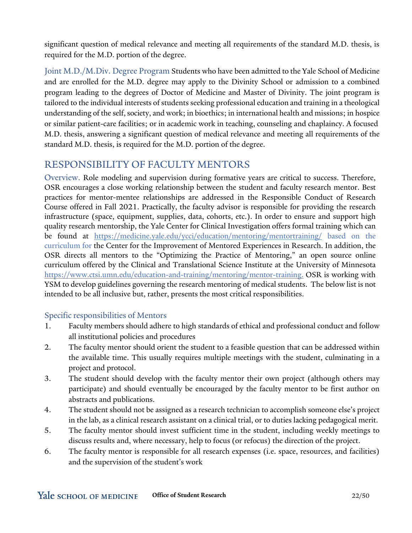significant question of medical relevance and meeting all requirements of the standard M.D. thesis, is required for the M.D. portion of the degree.

Joint M.D./M.Div. Degree Program Students who have been admitted to the Yale School of Medicine and are enrolled for the M.D. degree may apply to the Divinity School or admission to a combined program leading to the degrees of Doctor of Medicine and Master of Divinity. The joint program is tailored to the individual interests of students seeking professional education and training in a theological understanding of the self, society, and work; in bioethics; in international health and missions; in hospice or similar patient-care facilities; or in academic work in teaching, counseling and chaplaincy. A focused M.D. thesis, answering a significant question of medical relevance and meeting all requirements of the standard M.D. thesis, is required for the M.D. portion of the degree.

### RESPONSIBILITY OF FACULTY MENTORS

Overview. Role modeling and supervision during formative years are critical to success. Therefore, OSR encourages a close working relationship between the student and faculty research mentor. Best practices for mentor-mentee relationships are addressed in the Responsible Conduct of Research Course offered in Fall 2021. Practically, the faculty advisor is responsible for providing the research infrastructure (space, equipment, supplies, data, cohorts, etc.). In order to ensure and support high quality research mentorship, the Yale Center for Clinical Investigation offers formal training which can be found at <https://medicine.yale.edu/ycci/education/mentoring/mentortraining/> based on the curriculum for the Center for the Improvement of Mentored Experiences in Research. In addition, the OSR directs all mentors to the "Optimizing the Practice of Mentoring," an open source online curriculum offered by the Clinical and Translational Science Institute at the University of Minnesota [https://www.ctsi.umn.edu/education-and-training/mentoring/mentor-training.](https://www.ctsi.umn.edu/education-and-training/mentoring/mentor-training) OSR is working with YSM to develop guidelines governing the research mentoring of medical students. The below list is not intended to be all inclusive but, rather, presents the most critical responsibilities.

### Specific responsibilities of Mentors

- 1. Faculty members should adhere to high standards of ethical and professional conduct and follow all institutional policies and procedures
- 2. The faculty mentor should orient the student to a feasible question that can be addressed within the available time. This usually requires multiple meetings with the student, culminating in a project and protocol.
- 3. The student should develop with the faculty mentor their own project (although others may participate) and should eventually be encouraged by the faculty mentor to be first author on abstracts and publications.
- 4. The student should not be assigned as a research technician to accomplish someone else's project in the lab, as a clinical research assistant on a clinical trial, or to duties lacking pedagogical merit.
- 5. The faculty mentor should invest sufficient time in the student, including weekly meetings to discuss results and, where necessary, help to focus (or refocus) the direction of the project.
- 6. The faculty mentor is responsible for all research expenses (i.e. space, resources, and facilities) and the supervision of the student's work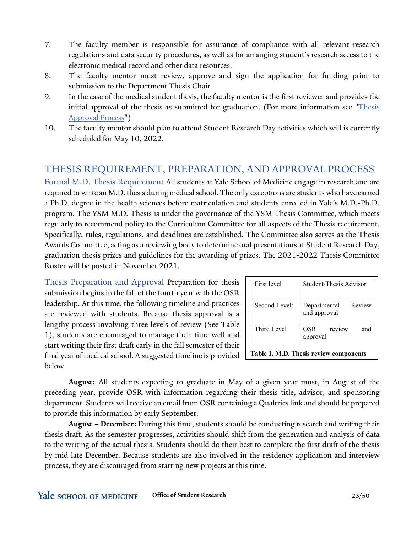- 7. The faculty member is responsible for assurance of compliance with all relevant research regulations and data security procedures, as well as for arranging student's research access to the electronic medical record and other data resources.
- 8. The faculty mentor must review, approve and sign the application for funding prior to submission to the Department Thesis Chair
- 9. In the case of the medical student thesis, the faculty mentor is the first reviewer and provides the initial approval of the thesis as submitted for graduation. (For more information see "*Thesis* Approval Process")
- 10. The faculty mentor should plan to attend Student Research Day activities which will is currently scheduled for May 10, 2022.

# THESIS REQUIREMENT, PREPARATION, AND APPROVAL PROCESS

Formal M.D. Thesis Requirement All students at Yale School of Medicine engage in research and are required to write an M.D. thesis during medical school. The only exceptions are students who have earned a Ph.D. degree in the health sciences before matriculation and students enrolled in Yale's M.D.-Ph.D. program. The YSM M.D. Thesis is under the governance of the YSM Thesis Committee, which meets regularly to recommend policy to the Curriculum Committee for all aspects of the Thesis requirement. Specifically, rules, regulations, and deadlines are established. The Committee also serves as the Thesis Awards Committee, acting as a reviewing body to determine oral presentations at Student Research Day, graduation thesis prizes and guidelines for the awarding of prizes. The 2021-2022 Thesis Committee Roster will be posted in November 2021.

Thesis Preparation and Approval Preparation for thesis submission begins in the fall of the fourth year with the OSR leadership. At this time, the following timeline and practices are reviewed with students. Because thesis approval is a lengthy process involving three levels of review (See Table 1), students are encouraged to manage their time well and start writing their first draft early in the fall semester of their final year of medical school. A suggested timeline is provided below.

|                                        | First level   | Student/Thesis Advisor              |  |  |  |
|----------------------------------------|---------------|-------------------------------------|--|--|--|
|                                        | Second Level: | Departmental Review<br>and approval |  |  |  |
|                                        | Third Level   | review<br>OSR<br>and<br>approval    |  |  |  |
| Table 1. M.D. Thesis review components |               |                                     |  |  |  |

**August:** All students expecting to graduate in May of a given year must, in August of the preceding year, provide OSR with information regarding their thesis title, advisor, and sponsoring department. Students will receive an email from OSR containing a Qualtrics link and should be prepared to provide this information by early September.

**August – December:** During this time, students should be conducting research and writing their thesis draft. As the semester progresses, activities should shift from the generation and analysis of data to the writing of the actual thesis. Students should do their best to complete the first draft of the thesis by mid-late December. Because students are also involved in the residency application and interview process, they are discouraged from starting new projects at this time.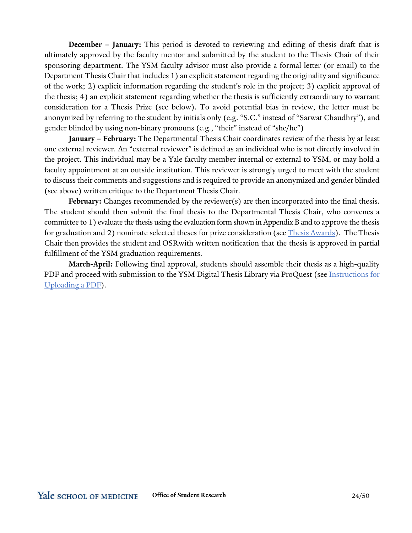**December – January:** This period is devoted to reviewing and editing of thesis draft that is ultimately approved by the faculty mentor and submitted by the student to the Thesis Chair of their sponsoring department. The YSM faculty advisor must also provide a formal letter (or email) to the Department Thesis Chair that includes 1) an explicit statement regarding the originality and significance of the work; 2) explicit information regarding the student's role in the project; 3) explicit approval of the thesis; 4) an explicit statement regarding whether the thesis is sufficiently extraordinary to warrant consideration for a Thesis Prize (see below). To avoid potential bias in review, the letter must be anonymized by referring to the student by initials only (e.g. "S.C." instead of "Sarwat Chaudhry"), and gender blinded by using non-binary pronouns (e.g., "their" instead of "she/he")

**January – February:** The Departmental Thesis Chair coordinates review of the thesis by at least one external reviewer. An "external reviewer" is defined as an individual who is not directly involved in the project. This individual may be a Yale faculty member internal or external to YSM, or may hold a faculty appointment at an outside institution. This reviewer is strongly urged to meet with the student to discuss their comments and suggestions and is required to provide an anonymized and gender blinded (see above) written critique to the Department Thesis Chair.

**February:** Changes recommended by the reviewer(s) are then incorporated into the final thesis. The student should then submit the final thesis to the Departmental Thesis Chair, who convenes a committee to 1) evaluate the thesis using the evaluation form shown in Appendix B and to approve the thesis for graduation and 2) nominate selected theses for prize consideration (see  $\overline{\text{Thesis}$  Awards). The Thesis Chair then provides the student and OSRwith written notification that the thesis is approved in partial fulfillment of the YSM graduation requirements.

**March-April:** Following final approval, students should assemble their thesis as a high-quality PDF and proceed with submission to the YSM Digital Thesis Library via ProQuest (see Instructions for Uploading a PDF).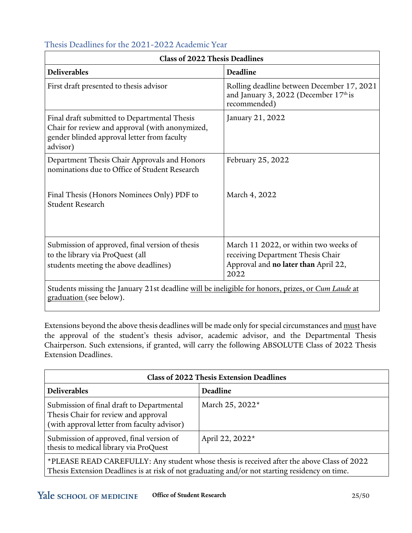| <b>Class of 2022 Thesis Deadlines</b>                                                                                                                      |                                                                                                                            |  |  |  |
|------------------------------------------------------------------------------------------------------------------------------------------------------------|----------------------------------------------------------------------------------------------------------------------------|--|--|--|
| <b>Deliverables</b>                                                                                                                                        | Deadline                                                                                                                   |  |  |  |
| First draft presented to thesis advisor                                                                                                                    | Rolling deadline between December 17, 2021<br>and January 3, 2022 (December $17th$ is<br>recommended)                      |  |  |  |
| Final draft submitted to Departmental Thesis<br>Chair for review and approval (with anonymized,<br>gender blinded approval letter from faculty<br>advisor) | January 21, 2022                                                                                                           |  |  |  |
| Department Thesis Chair Approvals and Honors<br>nominations due to Office of Student Research                                                              | February 25, 2022                                                                                                          |  |  |  |
| Final Thesis (Honors Nominees Only) PDF to<br><b>Student Research</b>                                                                                      | March 4, 2022                                                                                                              |  |  |  |
| Submission of approved, final version of thesis<br>to the library via ProQuest (all<br>students meeting the above deadlines)                               | March 11 2022, or within two weeks of<br>receiving Department Thesis Chair<br>Approval and no later than April 22,<br>2022 |  |  |  |
| Students missing the January 21st deadline will be ineligible for honors, prizes, or Cum Laude at<br>graduation (see below).                               |                                                                                                                            |  |  |  |

### Thesis Deadlines for the 2021-2022 Academic Year

Extensions beyond the above thesis deadlines will be made only for special circumstances and must have the approval of the student's thesis advisor, academic advisor, and the Departmental Thesis Chairperson. Such extensions, if granted, will carry the following ABSOLUTE Class of 2022 Thesis Extension Deadlines.

| <b>Class of 2022 Thesis Extension Deadlines</b>                                                                                                                                              |                 |  |  |  |
|----------------------------------------------------------------------------------------------------------------------------------------------------------------------------------------------|-----------------|--|--|--|
| <b>Deliverables</b>                                                                                                                                                                          | Deadline        |  |  |  |
| Submission of final draft to Departmental<br>Thesis Chair for review and approval<br>(with approval letter from faculty advisor)                                                             | March 25, 2022* |  |  |  |
| Submission of approved, final version of<br>thesis to medical library via ProQuest                                                                                                           | April 22, 2022* |  |  |  |
| *PLEASE READ CAREFULLY: Any student whose thesis is received after the above Class of 2022<br>Thesis Extension Deadlines is at risk of not graduating and/or not starting residency on time. |                 |  |  |  |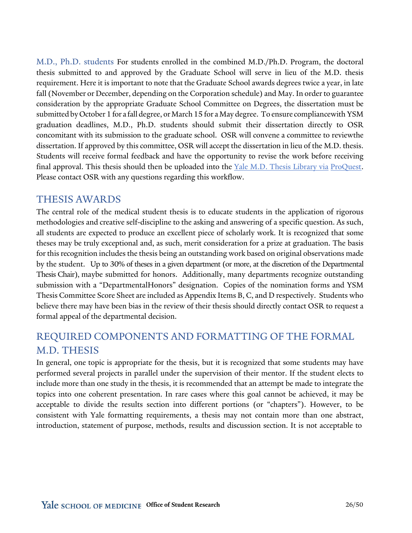M.D., Ph.D. students For students enrolled in the combined M.D./Ph.D. Program, the doctoral thesis submitted to and approved by the Graduate School will serve in lieu of the M.D. thesis requirement. Here it is important to note that the Graduate School awards degrees twice a year, in late fall (November or December, depending on the Corporation schedule) and May. In order to guarantee consideration by the appropriate Graduate School Committee on Degrees, the dissertation must be submitted by October 1 for a fall degree, or March 15 for a May degree. To ensure compliancewith YSM graduation deadlines, M.D., Ph.D. students should submit their dissertation directly to OSR concomitant with its submission to the graduate school. OSR will convene a committee to reviewthe dissertation. If approved by this committee, OSR will accept the dissertation in lieu of the M.D. thesis. Students will receive formal feedback and have the opportunity to revise the work before receiving final approval. This thesis should then be uploaded into the Yale M.D. Thesis Library via ProQuest. Please contact OSR with any questions regarding this workflow.

### THESIS AWARDS

The central role of the medical student thesis is to educate students in the application of rigorous methodologies and creative self-discipline to the asking and answering of a specific question. As such, all students are expected to produce an excellent piece of scholarly work. It is recognized that some theses may be truly exceptional and, as such, merit consideration for a prize at graduation. The basis for this recognition includes the thesis being an outstanding work based on original observations made by the student. Up to 30% of theses in a given department (or more, at the discretion of the Departmental Thesis Chair), maybe submitted for honors. Additionally, many departments recognize outstanding submission with a "DepartmentalHonors" designation. Copies of the nomination forms and YSM Thesis Committee Score Sheet are included as Appendix Items B, C, and D respectively. Students who believe there may have been bias in the review of their thesis should directly contact OSR to request a formal appeal of the departmental decision.

# REQUIRED COMPONENTS AND FORMATTING OF THE FORMAL M.D. THESIS

In general, one topic is appropriate for the thesis, but it is recognized that some students may have performed several projects in parallel under the supervision of their mentor. If the student elects to include more than one study in the thesis, it is recommended that an attempt be made to integrate the topics into one coherent presentation. In rare cases where this goal cannot be achieved, it may be acceptable to divide the results section into different portions (or "chapters"). However, to be consistent with Yale formatting requirements, a thesis may not contain more than one abstract, introduction, statement of purpose, methods, results and discussion section. It is not acceptable to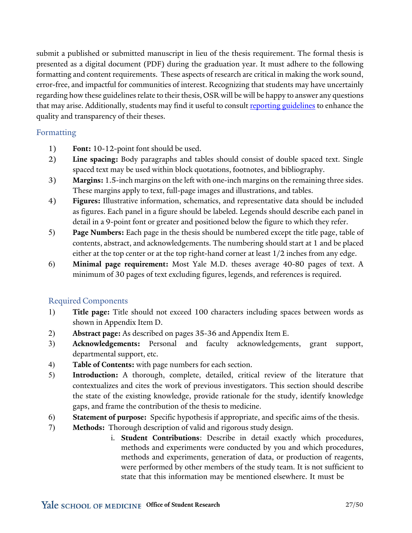submit a published or submitted manuscript in lieu of the thesis requirement. The formal thesis is presented as a digital document (PDF) during the graduation year. It must adhere to the following formatting and content requirements. These aspects of research are critical in making the work sound, error-free, and impactful for communities of interest. Recognizing that students may have uncertainly regarding how these guidelines relate to their thesis, OSR will be will be happy to answer any questions that may arise. Additionally, students may find it useful to consul[t reporting guidelines](https://www.equator-network.org/?post_type=eq_guidelines&eq_guidelines_study_design=experimental-studies&eq_guidelines_clinical_specialty=0&eq_guidelines_report_section=0&s&eq_guidelines_study_design_sub_cat=clinical-trials-experimental-studies) to enhance the quality and transparency of their theses.

### Formatting

- 1) **Font:** 10-12-point font should be used.
- 2) **Line spacing:** Body paragraphs and tables should consist of double spaced text. Single spaced text may be used within block quotations, footnotes, and bibliography.
- 3) **Margins:** 1.5-inch margins on the left with one-inch margins on the remaining three sides. These margins apply to text, full-page images and illustrations, and tables.
- 4) **Figures:** Illustrative information, schematics, and representative data should be included as figures. Each panel in a figure should be labeled. Legends should describe each panel in detail in a 9-point font or greater and positioned below the figure to which they refer.
- 5) **Page Numbers:** Each page in the thesis should be numbered except the title page, table of contents, abstract, and acknowledgements. The numbering should start at 1 and be placed either at the top center or at the top right-hand corner at least 1/2 inches from any edge.
- 6) **Minimal page requirement:** Most Yale M.D. theses average 40-80 pages of text. A minimum of 30 pages of text excluding figures, legends, and references is required.

### Required Components

- 1) **Title page:** Title should not exceed 100 characters including spaces between words as shown in Appendix Item D.
- 2) **Abstract page:** As described on pages 35-36 and Appendix Item E.
- 3) **Acknowledgements:** Personal and faculty acknowledgements, grant support, departmental support, etc.
- 4) **Table of Contents:** with page numbers for each section.
- 5) **Introduction:** A thorough, complete, detailed, critical review of the literature that contextualizes and cites the work of previous investigators. This section should describe the state of the existing knowledge, provide rationale for the study, identify knowledge gaps, and frame the contribution of the thesis to medicine.
- 6) **Statement of purpose:** Specific hypothesis if appropriate, and specific aims of the thesis.
- 7) **Methods:** Thorough description of valid and rigorous study design.
	- i. **Student Contributions**: Describe in detail exactly which procedures, methods and experiments were conducted by you and which procedures, methods and experiments, generation of data, or production of reagents, were performed by other members of the study team. It is not sufficient to state that this information may be mentioned elsewhere. It must be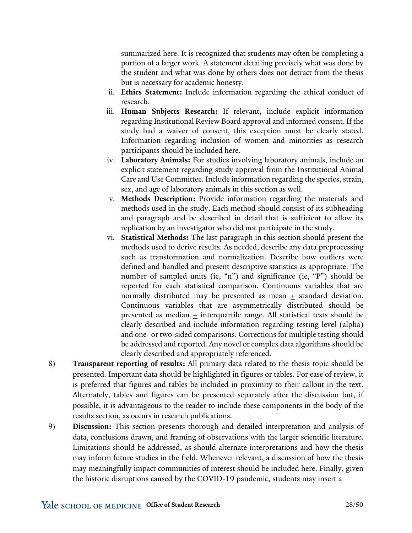summarized here. It is recognized that students may often be completing a portion of a larger work. A statement detailing precisely what was done by the student and what was done by others does not detract from the thesis but is necessary for academic honesty.

- ii. **Ethics Statement:** Include information regarding the ethical conduct of research.
- iii. **Human Subjects Research:** If relevant, include explicit information regarding Institutional Review Board approval and informed consent. If the study had a waiver of consent, this exception must be clearly stated. Information regarding inclusion of women and minorities as research participants should be included here.
- iv. **Laboratory Animals:** For studies involving laboratory animals, include an explicit statement regarding study approval from the Institutional Animal Care and Use Committee. Include information regarding the species, strain, sex, and age of laboratory animals in this section as well.
- v. **Methods Description:** Provide information regarding the materials and methods used in the study. Each method should consist of its subheading and paragraph and be described in detail that is sufficient to allow its replication by an investigator who did not participate in the study.
- vi. **Statistical Methods:** The last paragraph in this section should present the methods used to derive results. As needed, describe any data preprocessing such as transformation and normalization. Describe how outliers were defined and handled and present descriptive statistics as appropriate. The number of sampled units (ie, "n") and significance (ie, "P") should be reported for each statistical comparison. Continuous variables that are normally distributed may be presented as mean  $+$  standard deviation. Continuous variables that are asymmetrically distributed should be presented as median + interquartile range. All statistical tests should be clearly described and include information regarding testing level (alpha) and one- or two-sided comparisons. Corrections for multiple testing should be addressed and reported. Any novel or complex data algorithms should be clearly described and appropriately referenced.
- 8) **Transparent reporting of results:** All primary data related to the thesis topic should be presented. Important data should be highlighted in figures or tables. For ease of review, it is preferred that figures and tables be included in proximity to their callout in the text. Alternately, tables and figures can be presented separately after the discussion but, if possible, it is advantageous to the reader to include these components in the body of the results section, as occurs in research publications.
- 9) **Discussion:** This section presents thorough and detailed interpretation and analysis of data, conclusions drawn, and framing of observations with the larger scientific literature. Limitations should be addressed, as should alternate interpretations and how the thesis may inform future studies in the field. Whenever relevant, a discussion of how the thesis may meaningfully impact communities of interest should be included here. Finally, given the historic disruptions caused by the COVID-19 pandemic, students may insert a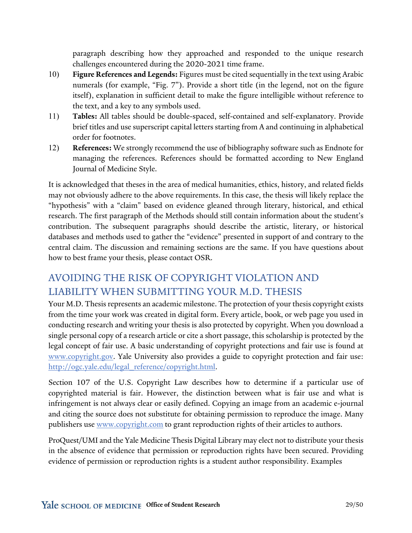paragraph describing how they approached and responded to the unique research challenges encountered during the 2020-2021 time frame.

- 10) **Figure References and Legends:** Figures must be cited sequentially in the text using Arabic numerals (for example, "Fig. 7"). Provide a short title (in the legend, not on the figure itself), explanation in sufficient detail to make the figure intelligible without reference to the text, and a key to any symbols used.
- 11) **Tables:** All tables should be double-spaced, self-contained and self-explanatory. Provide brief titles and use superscript capital letters starting from A and continuing in alphabetical order for footnotes.
- 12) **References:** We strongly recommend the use of bibliography software such as Endnote for managing the references. References should be formatted according to New England Journal of Medicine Style.

It is acknowledged that theses in the area of medical humanities, ethics, history, and related fields may not obviously adhere to the above requirements. In this case, the thesis will likely replace the "hypothesis" with a "claim" based on evidence gleaned through literary, historical, and ethical research. The first paragraph of the Methods should still contain information about the student's contribution. The subsequent paragraphs should describe the artistic, literary, or historical databases and methods used to gather the "evidence" presented in support of and contrary to the central claim. The discussion and remaining sections are the same. If you have questions about how to best frame your thesis, please contact OSR.

# AVOIDING THE RISK OF COPYRIGHT VIOLATION AND LIABILITY WHEN SUBMITTING YOUR M.D. THESIS

Your M.D. Thesis represents an academic milestone. The protection of your thesis copyright exists from the time your work was created in digital form. Every article, book, or web page you used in conducting research and writing your thesis is also protected by copyright. When you download a single personal copy of a research article or cite a short passage, this scholarship is protected by the legal concept of fair use. A basic understanding of copyright protections and fair use is found at [www.copyright.gov.](http://www.copyright.gov/) Yale University also provides a guide to copyright protection and fair use: [http://ogc.yale.edu/legal\\_reference/copyright.html.](http://ogc.yale.edu/legal_reference/copyright.html)

Section 107 of the U.S. Copyright Law describes how to determine if a particular use of copyrighted material is fair. However, the distinction between what is fair use and what is infringement is not always clear or easily defined. Copying an image from an academic e-journal and citing the source does not substitute for obtaining permission to reproduce the image. Many publishers use [www.copyright.com](http://www.copyright.com/) to grant reproduction rights of their articles to authors.

ProQuest/UMI and the Yale Medicine Thesis Digital Library may elect not to distribute your thesis in the absence of evidence that permission or reproduction rights have been secured. Providing evidence of permission or reproduction rights is a student author responsibility. Examples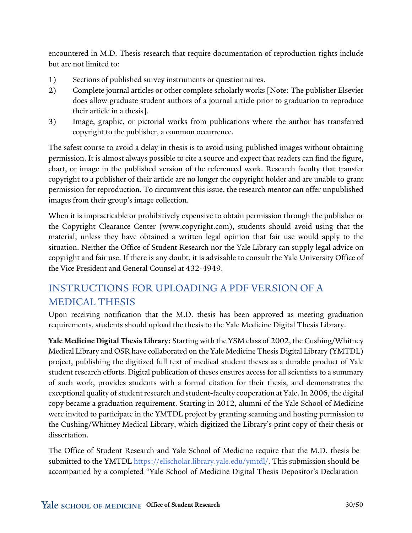encountered in M.D. Thesis research that require documentation of reproduction rights include but are not limited to:

- 1) Sections of published survey instruments or questionnaires.
- 2) Complete journal articles or other complete scholarly works [Note: The publisher Elsevier does allow graduate student authors of a journal article prior to graduation to reproduce their article in a thesis].
- 3) Image, graphic, or pictorial works from publications where the author has transferred copyright to the publisher, a common occurrence.

The safest course to avoid a delay in thesis is to avoid using published images without obtaining permission. It is almost always possible to cite a source and expect that readers can find the figure, chart, or image in the published version of the referenced work. Research faculty that transfer copyright to a publisher of their article are no longer the copyright holder and are unable to grant permission for reproduction. To circumvent this issue, the research mentor can offer unpublished images from their group's image collection.

When it is impracticable or prohibitively expensive to obtain permission through the publisher or the Copyright Clearance Center (www.copyright.com), students should avoid using that the material, unless they have obtained a written legal opinion that fair use would apply to the situation. Neither the Office of Student Research nor the Yale Library can supply legal advice on copyright and fair use. If there is any doubt, it is advisable to consult the Yale University Office of the Vice President and General Counsel at 432-4949.

# INSTRUCTIONS FOR UPLOADING A PDF VERSION OF A MEDICAL THESIS

Upon receiving notification that the M.D. thesis has been approved as meeting graduation requirements, students should upload the thesis to the Yale Medicine Digital Thesis Library.

**Yale Medicine Digital Thesis Library:** Starting with the YSM class of 2002, the Cushing/Whitney Medical Library and OSR have collaborated on the Yale Medicine Thesis Digital Library (YMTDL) project, publishing the digitized full text of medical student theses as a durable product of Yale student research efforts. Digital publication of theses ensures access for all scientists to a summary of such work, provides students with a formal citation for their thesis, and demonstrates the exceptional quality of student research and student-faculty cooperation at Yale. In 2006, the digital copy became a graduation requirement. Starting in 2012, alumni of the Yale School of Medicine were invited to participate in the YMTDL project by granting scanning and hosting permission to the Cushing/Whitney Medical Library, which digitized the Library's print copy of their thesis or dissertation.

The Office of Student Research and Yale School of Medicine require that the M.D. thesis be submitted to the YMTDL [https://elischolar.library.yale.edu/ymtdl/.](https://elischolar.library.yale.edu/ymtdl/) This submission should be accompanied by a completed "Yale School of Medicine Digital Thesis Depositor's Declaration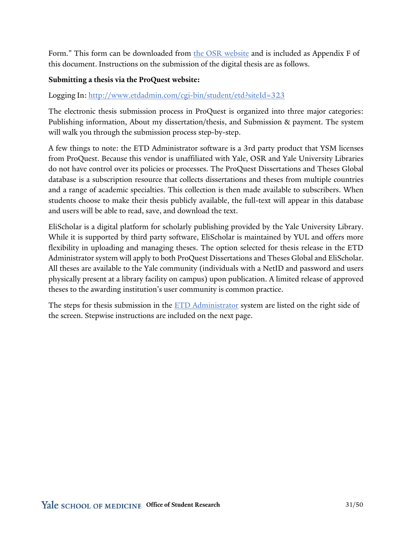Form." This form can be downloaded from [the OSR website](https://medicine.yale.edu/education/research/student/applications/) and is included as Appendix F of this document. Instructions on the submission of the digital thesis are as follows.

#### **Submitting a thesis via the ProQuest website:**

Logging In: <http://www.etdadmin.com/cgi-bin/student/etd?siteId=323>

The electronic thesis submission process in ProQuest is organized into three major categories: Publishing information, About my dissertation/thesis, and Submission & payment. The system will walk you through the submission process step-by-step.

A few things to note: the ETD Administrator software is a 3rd party product that YSM licenses from ProQuest. Because this vendor is unaffiliated with Yale, OSR and Yale University Libraries do not have control over its policies or processes. The ProQuest Dissertations and Theses Global database is a subscription resource that collects dissertations and theses from multiple countries and a range of academic specialties. This collection is then made available to subscribers. When students choose to make their thesis publicly available, the full-text will appear in this database and users will be able to read, save, and download the text.

EliScholar is a digital platform for scholarly publishing provided by the Yale University Library. While it is supported by third party software, EliScholar is maintained by YUL and offers more flexibility in uploading and managing theses. The option selected for thesis release in the ETD Administrator system will apply to both ProQuest Dissertations and Theses Global and EliScholar. All theses are available to the Yale community (individuals with a NetID and password and users physically present at a library facility on campus) upon publication. A limited release of approved theses to the awarding institution's user community is common practice.

The steps for thesis submission in the [ETD Administrator](https://www.etdadmin.com/main/home) system are listed on the right side of the screen. Stepwise instructions are included on the next page.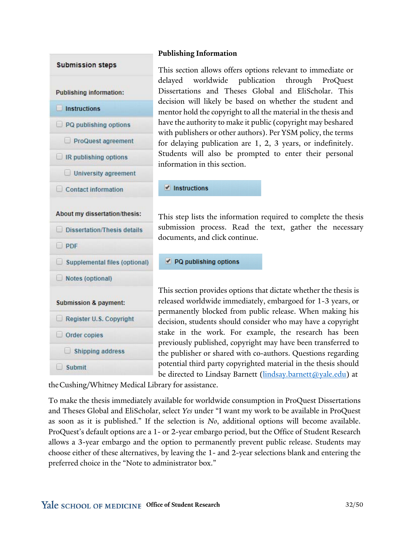

### **Publishing Information**

This section allows offers options relevant to immediate or delayed worldwide publication through ProQuest Dissertations and Theses Global and EliScholar. This decision will likely be based on whether the student and mentor hold the copyright to all the material in the thesis and have the authority to make it public (copyright may beshared with publishers or other authors). Per YSM policy, the terms for delaying publication are 1, 2, 3 years, or indefinitely. Students will also be prompted to enter their personal information in this section.

 $\blacksquare$  Instructions

This step lists the information required to complete the thesis submission process. Read the text, gather the necessary documents, and click continue.

PQ publishing options

This section provides options that dictate whether the thesis is released worldwide immediately, embargoed for 1-3 years, or permanently blocked from public release. When making his decision, students should consider who may have a copyright stake in the work. For example, the research has been previously published, copyright may have been transferred to the publisher or shared with co-authors. Questions regarding potential third party copyrighted material in the thesis should be directed to Lindsay Barnett [\(lindsay.barnett@yale.edu\)](mailto:lindsay.barnett@yale.edu) at

theCushing/Whitney Medical Library for assistance.

To make the thesis immediately available for worldwide consumption in ProQuest Dissertations and Theses Global and EliScholar, select *Yes* under "I want my work to be available in ProQuest as soon as it is published." If the selection is *No*, additional options will become available. ProQuest's default options are a 1- or 2-year embargo period, but the Office of Student Research allows a 3-year embargo and the option to permanently prevent public release. Students may choose either of these alternatives, by leaving the 1- and 2-year selections blank and entering the preferred choice in the "Note to administrator box."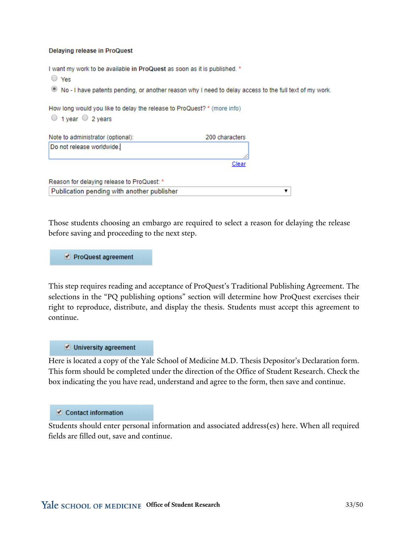#### **Delaying release in ProQuest**

I want my work to be available in ProQuest as soon as it is published. \*

 $\bigcirc$  Yes . No - I have patents pending, or another reason why I need to delay access to the full text of my work. How long would you like to delay the release to ProQuest? \* (more info)  $\circ$  1 year  $\circ$  2 years Note to administrator (optional): 200 characters Do not release worldwide. Clear

| Reason for delaying release to ProQuest: * |  |
|--------------------------------------------|--|
| Publication pending with another publisher |  |

Those students choosing an embargo are required to select a reason for delaying the release before saving and proceeding to the next step.

ProQuest agreement

This step requires reading and acceptance of ProQuest's Traditional Publishing Agreement. The selections in the "PQ publishing options" section will determine how ProQuest exercises their right to reproduce, distribute, and display the thesis. Students must accept this agreement to continue.

#### University agreement

Here is located a copy of the Yale School of Medicine M.D. Thesis Depositor's Declaration form. This form should be completed under the direction of the Office of Student Research. Check the box indicating the you have read, understand and agree to the form, then save and continue.

#### Contact information

Students should enter personal information and associated address(es) here. When all required fields are filled out, save and continue.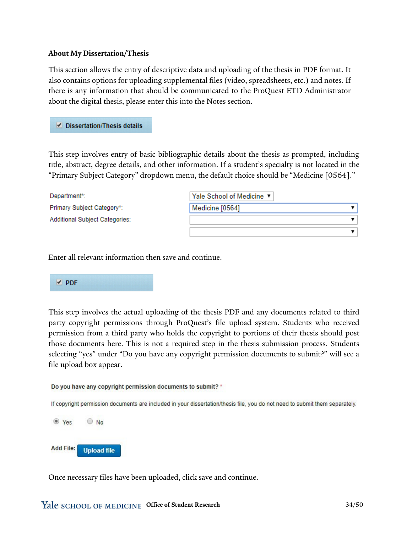#### **About My Dissertation/Thesis**

This section allows the entry of descriptive data and uploading of the thesis in PDF format. It also contains options for uploading supplemental files (video, spreadsheets, etc.) and notes. If there is any information that should be communicated to the ProQuest ETD Administrator about the digital thesis, please enter this into the Notes section.

Dissertation/Thesis details

This step involves entry of basic bibliographic details about the thesis as prompted, including title, abstract, degree details, and other information. If a student's specialty is not located in the "Primary Subject Category" dropdown menu, the default choice should be "Medicine [0564]."

| Department*:                          | Yale School of Medicine ▼ |
|---------------------------------------|---------------------------|
| Primary Subject Category*:            | Medicine [0564]           |
| <b>Additional Subject Categories:</b> |                           |
|                                       |                           |

Enter all relevant information then save and continue.

#### $\blacktriangleright$  PDF

This step involves the actual uploading of the thesis PDF and any documents related to third party copyright permissions through ProQuest's file upload system. Students who received permission from a third party who holds the copyright to portions of their thesis should post those documents here. This is not a required step in the thesis submission process. Students selecting "yes" under "Do you have any copyright permission documents to submit?" will see a file upload box appear.

Do you have any copyright permission documents to submit? \*

If copyright permission documents are included in your dissertation/thesis file, you do not need to submit them separately.



Once necessary files have been uploaded, click save and continue.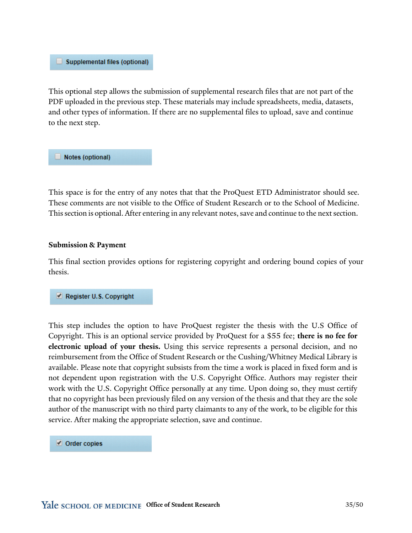#### Supplemental files (optional)

This optional step allows the submission of supplemental research files that are not part of the PDF uploaded in the previous step. These materials may include spreadsheets, media, datasets, and other types of information. If there are no supplemental files to upload, save and continue to the next step.

Notes (optional)

This space is for the entry of any notes that that the ProQuest ETD Administrator should see. These comments are not visible to the Office of Student Research or to the School of Medicine. This section is optional. After entering in any relevant notes, save and continue to the next section.

#### **Submission & Payment**

This final section provides options for registering copyright and ordering bound copies of your thesis.

#### Register U.S. Copyright

This step includes the option to have ProQuest register the thesis with the U.S Office of Copyright. This is an optional service provided by ProQuest for a \$55 fee; **there is no fee for electronic upload of your thesis.** Using this service represents a personal decision, and no reimbursement from the Office of Student Research or the Cushing/Whitney Medical Library is available. Please note that copyright subsists from the time a work is placed in fixed form and is not dependent upon registration with the U.S. Copyright Office. Authors may register their work with the U.S. Copyright Office personally at any time. Upon doing so, they must certify that no copyright has been previously filed on any version of the thesis and that they are the sole author of the manuscript with no third party claimants to any of the work, to be eligible for this service. After making the appropriate selection, save and continue.

#### Order copies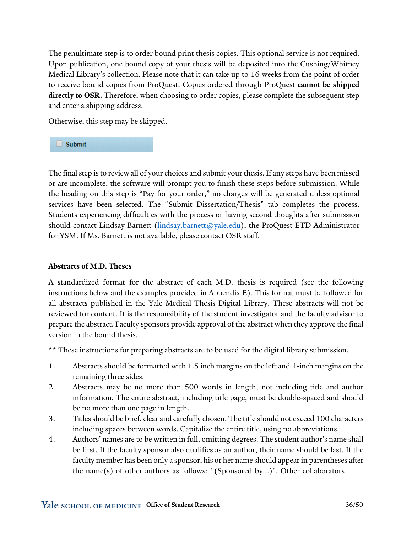The penultimate step is to order bound print thesis copies. This optional service is not required. Upon publication, one bound copy of your thesis will be deposited into the Cushing/Whitney Medical Library's collection. Please note that it can take up to 16 weeks from the point of order to receive bound copies from ProQuest. Copies ordered through ProQuest **cannot be shipped directly to OSR.** Therefore, when choosing to order copies, please complete the subsequent step and enter a shipping address.

Otherwise, this step may be skipped.

 $\Box$  Submit

The final step is to review all of your choices and submit your thesis. If any steps have been missed or are incomplete, the software will prompt you to finish these steps before submission. While the heading on this step is "Pay for your order," no charges will be generated unless optional services have been selected. The "Submit Dissertation/Thesis" tab completes the process. Students experiencing difficulties with the process or having second thoughts after submission should contact Lindsay Barnett (*lindsay.barnett@yale.edu*), the ProQuest ETD Administrator for YSM. If Ms. Barnett is not available, please contact OSR staff.

#### **Abstracts of M.D. Theses**

A standardized format for the abstract of each M.D. thesis is required (see the following instructions below and the examples provided in Appendix E). This format must be followed for all abstracts published in the Yale Medical Thesis Digital Library. These abstracts will not be reviewed for content. It is the responsibility of the student investigator and the faculty advisor to prepare the abstract. Faculty sponsors provide approval of the abstract when they approve the final version in the bound thesis.

\*\* These instructions for preparing abstracts are to be used for the digital library submission.

- 1. Abstracts should be formatted with 1.5 inch margins on the left and 1-inch margins on the remaining three sides.
- 2. Abstracts may be no more than 500 words in length, not including title and author information. The entire abstract, including title page, must be double-spaced and should be no more than one page in length.
- 3. Titles should be brief, clear and carefully chosen. The title should not exceed 100 characters including spaces between words. Capitalize the entire title, using no abbreviations.
- 4. Authors' names are to be written in full, omitting degrees. The student author's name shall be first. If the faculty sponsor also qualifies as an author, their name should be last. If the faculty member has been only a sponsor, his or her name should appear in parentheses after the name(s) of other authors as follows: "(Sponsored by...)". Other collaborators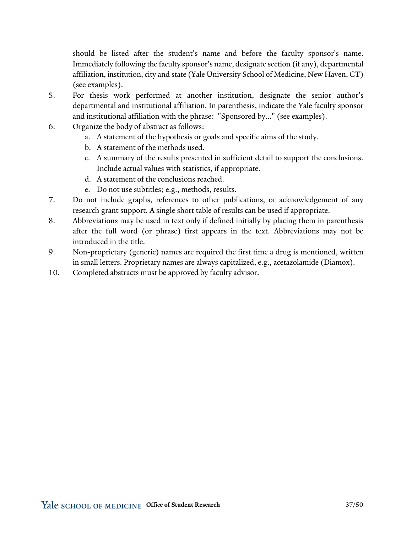should be listed after the student's name and before the faculty sponsor's name. Immediately following the faculty sponsor's name, designate section (if any), departmental affiliation, institution, city and state (Yale University School of Medicine, New Haven, CT) (see examples).

- 5. For thesis work performed at another institution, designate the senior author's departmental and institutional affiliation. In parenthesis, indicate the Yale faculty sponsor and institutional affiliation with the phrase: "Sponsored by..." (see examples).
- 6. Organize the body of abstract as follows:
	- a. A statement of the hypothesis or goals and specific aims of the study.
	- b. A statement of the methods used.
	- c. A summary of the results presented in sufficient detail to support the conclusions. Include actual values with statistics, if appropriate.
	- d. A statement of the conclusions reached.
	- e. Do not use subtitles; e.g., methods, results.
- 7. Do not include graphs, references to other publications, or acknowledgement of any research grant support. A single short table of results can be used if appropriate.
- 8. Abbreviations may be used in text only if defined initially by placing them in parenthesis after the full word (or phrase) first appears in the text. Abbreviations may not be introduced in the title.
- 9. Non-proprietary (generic) names are required the first time a drug is mentioned, written in small letters. Proprietary names are always capitalized, e.g., acetazolamide (Diamox).
- 10. Completed abstracts must be approved by faculty advisor.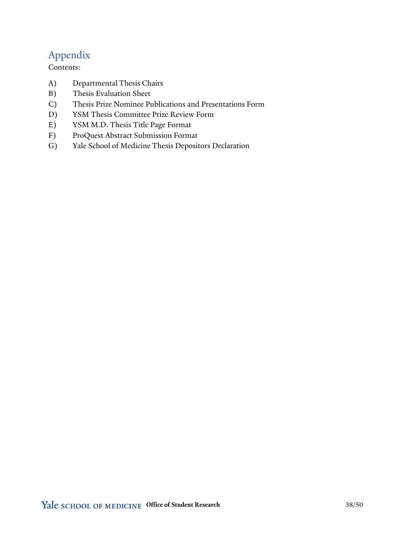# Appendix

Contents:

- A) Departmental Thesis Chairs
- B) Thesis Evaluation Sheet
- C) Thesis Prize Nominee Publications and Presentations Form
- D) YSM Thesis Committee Prize Review Form
- E) YSM M.D. Thesis Title Page Format
- F) ProQuest Abstract Submission Format
- G) Yale School of Medicine Thesis Depositors Declaration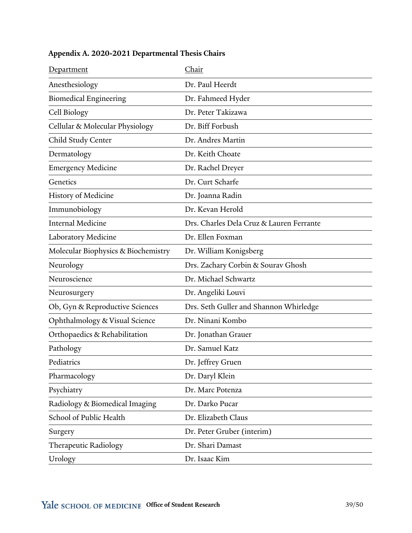| Department                          | Chair                                    |
|-------------------------------------|------------------------------------------|
| Anesthesiology                      | Dr. Paul Heerdt                          |
| <b>Biomedical Engineering</b>       | Dr. Fahmeed Hyder                        |
| Cell Biology                        | Dr. Peter Takizawa                       |
| Cellular & Molecular Physiology     | Dr. Biff Forbush                         |
| Child Study Center                  | Dr. Andres Martin                        |
| Dermatology                         | Dr. Keith Choate                         |
| <b>Emergency Medicine</b>           | Dr. Rachel Dreyer                        |
| Genetics                            | Dr. Curt Scharfe                         |
| <b>History of Medicine</b>          | Dr. Joanna Radin                         |
| Immunobiology                       | Dr. Kevan Herold                         |
| <b>Internal Medicine</b>            | Drs. Charles Dela Cruz & Lauren Ferrante |
| Laboratory Medicine                 | Dr. Ellen Foxman                         |
| Molecular Biophysics & Biochemistry | Dr. William Konigsberg                   |
| Neurology                           | Drs. Zachary Corbin & Sourav Ghosh       |
| Neuroscience                        | Dr. Michael Schwartz                     |
| Neurosurgery                        | Dr. Angeliki Louvi                       |
| Ob, Gyn & Reproductive Sciences     | Drs. Seth Guller and Shannon Whirledge   |
| Ophthalmology & Visual Science      | Dr. Ninani Kombo                         |
| Orthopaedics & Rehabilitation       | Dr. Jonathan Grauer                      |
| Pathology                           | Dr. Samuel Katz                          |
| Pediatrics                          | Dr. Jeffrey Gruen                        |
| Pharmacology                        | Dr. Daryl Klein                          |
| Psychiatry                          | Dr. Marc Potenza                         |
| Radiology & Biomedical Imaging      | Dr. Darko Pucar                          |
| School of Public Health             | Dr. Elizabeth Claus                      |
| Surgery                             | Dr. Peter Gruber (interim)               |
| Therapeutic Radiology               | Dr. Shari Damast                         |
| Urology                             | Dr. Isaac Kim                            |

# **Appendix A. 2020-2021 Departmental Thesis Chairs**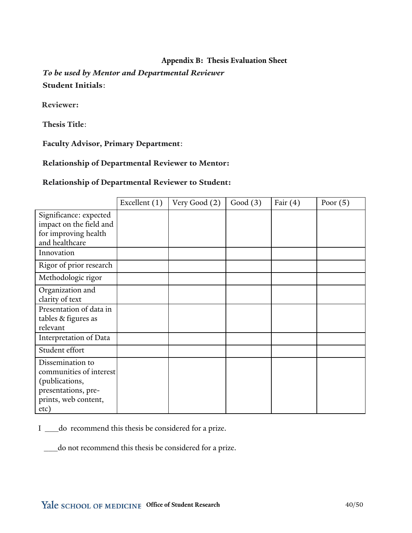### **Appendix B: Thesis Evaluation Sheet**

*To be used by Mentor and Departmental Reviewer* **Student Initials**:

**Reviewer:** 

**Thesis Title**:

**Faculty Advisor, Primary Department**:

**Relationship of Departmental Reviewer to Mentor:**

#### **Relationship of Departmental Reviewer to Student:**

|                                                                                                                      | Excellent (1) | Very Good (2) | Good $(3)$ | Fair $(4)$ | Poor $(5)$ |
|----------------------------------------------------------------------------------------------------------------------|---------------|---------------|------------|------------|------------|
| Significance: expected<br>impact on the field and<br>for improving health<br>and healthcare                          |               |               |            |            |            |
| Innovation                                                                                                           |               |               |            |            |            |
| Rigor of prior research                                                                                              |               |               |            |            |            |
| Methodologic rigor                                                                                                   |               |               |            |            |            |
| Organization and<br>clarity of text                                                                                  |               |               |            |            |            |
| Presentation of data in<br>tables & figures as<br>relevant                                                           |               |               |            |            |            |
| Interpretation of Data                                                                                               |               |               |            |            |            |
| Student effort                                                                                                       |               |               |            |            |            |
| Dissemination to<br>communities of interest<br>(publications,<br>presentations, pre-<br>prints, web content,<br>etc) |               |               |            |            |            |

I \_\_\_do recommend this thesis be considered for a prize.

\_\_\_do not recommend this thesis be considered for a prize.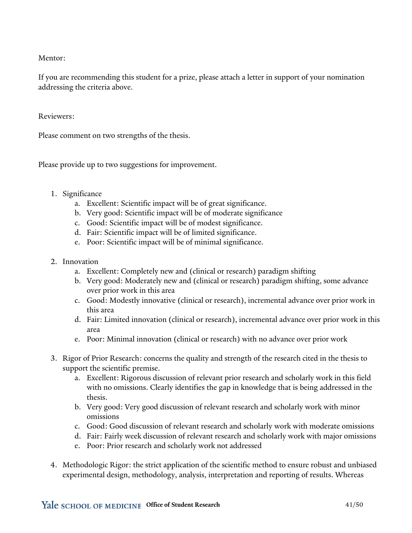Mentor:

If you are recommending this student for a prize, please attach a letter in support of your nomination addressing the criteria above.

Reviewers:

Please comment on two strengths of the thesis.

Please provide up to two suggestions for improvement.

- 1. Significance
	- a. Excellent: Scientific impact will be of great significance.
	- b. Very good: Scientific impact will be of moderate significance
	- c. Good: Scientific impact will be of modest significance.
	- d. Fair: Scientific impact will be of limited significance.
	- e. Poor: Scientific impact will be of minimal significance.
- 2. Innovation
	- a. Excellent: Completely new and (clinical or research) paradigm shifting
	- b. Very good: Moderately new and (clinical or research) paradigm shifting, some advance over prior work in this area
	- c. Good: Modestly innovative (clinical or research), incremental advance over prior work in this area
	- d. Fair: Limited innovation (clinical or research), incremental advance over prior work in this area
	- e. Poor: Minimal innovation (clinical or research) with no advance over prior work
- 3. Rigor of Prior Research: concerns the quality and strength of the research cited in the thesis to support the scientific premise.
	- a. Excellent: Rigorous discussion of relevant prior research and scholarly work in this field with no omissions. Clearly identifies the gap in knowledge that is being addressed in the thesis.
	- b. Very good: Very good discussion of relevant research and scholarly work with minor omissions
	- c. Good: Good discussion of relevant research and scholarly work with moderate omissions
	- d. Fair: Fairly week discussion of relevant research and scholarly work with major omissions
	- e. Poor: Prior research and scholarly work not addressed
- 4. Methodologic Rigor: the strict application of the scientific method to ensure robust and unbiased experimental design, methodology, analysis, interpretation and reporting of results. Whereas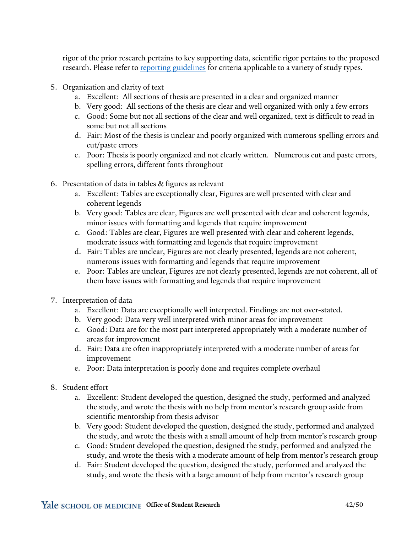rigor of the prior research pertains to key supporting data, scientific rigor pertains to the proposed research. Please refer to [reporting guidelines](https://www.equator-network.org/reporting-guidelines/) for criteria applicable to a variety of study types.

- 5. Organization and clarity of text
	- a. Excellent: All sections of thesis are presented in a clear and organized manner
	- b. Very good: All sections of the thesis are clear and well organized with only a few errors
	- c. Good: Some but not all sections of the clear and well organized, text is difficult to read in some but not all sections
	- d. Fair: Most of the thesis is unclear and poorly organized with numerous spelling errors and cut/paste errors
	- e. Poor: Thesis is poorly organized and not clearly written. Numerous cut and paste errors, spelling errors, different fonts throughout
- 6. Presentation of data in tables & figures as relevant
	- a. Excellent: Tables are exceptionally clear, Figures are well presented with clear and coherent legends
	- b. Very good: Tables are clear, Figures are well presented with clear and coherent legends, minor issues with formatting and legends that require improvement
	- c. Good: Tables are clear, Figures are well presented with clear and coherent legends, moderate issues with formatting and legends that require improvement
	- d. Fair: Tables are unclear, Figures are not clearly presented, legends are not coherent, numerous issues with formatting and legends that require improvement
	- e. Poor: Tables are unclear, Figures are not clearly presented, legends are not coherent, all of them have issues with formatting and legends that require improvement
- 7. Interpretation of data
	- a. Excellent: Data are exceptionally well interpreted. Findings are not over-stated.
	- b. Very good: Data very well interpreted with minor areas for improvement
	- c. Good: Data are for the most part interpreted appropriately with a moderate number of areas for improvement
	- d. Fair: Data are often inappropriately interpreted with a moderate number of areas for improvement
	- e. Poor: Data interpretation is poorly done and requires complete overhaul
- 8. Student effort
	- a. Excellent: Student developed the question, designed the study, performed and analyzed the study, and wrote the thesis with no help from mentor's research group aside from scientific mentorship from thesis advisor
	- b. Very good: Student developed the question, designed the study, performed and analyzed the study, and wrote the thesis with a small amount of help from mentor's research group
	- c. Good: Student developed the question, designed the study, performed and analyzed the study, and wrote the thesis with a moderate amount of help from mentor's research group
	- d. Fair: Student developed the question, designed the study, performed and analyzed the study, and wrote the thesis with a large amount of help from mentor's research group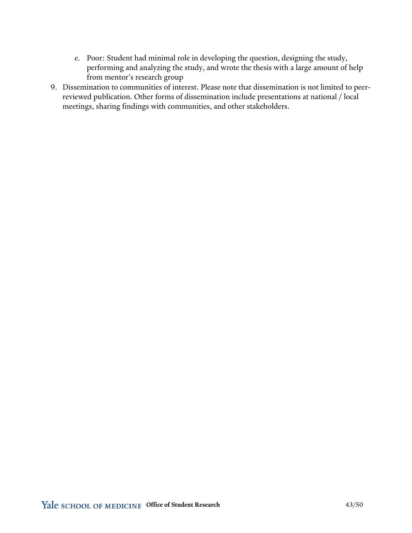- e. Poor: Student had minimal role in developing the question, designing the study, performing and analyzing the study, and wrote the thesis with a large amount of help from mentor's research group
- 9. Dissemination to communities of interest. Please note that dissemination is not limited to peerreviewed publication. Other forms of dissemination include presentations at national / local meetings, sharing findings with communities, and other stakeholders.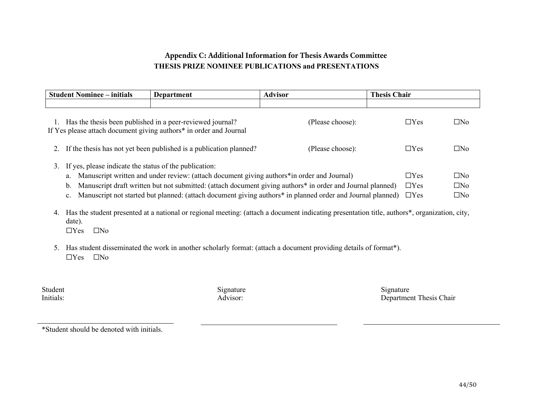### **Appendix C: Additional Information for Thesis Awards Committee THESIS PRIZE NOMINEE PUBLICATIONS and PRESENTATIONS**

|                                                                                                                                                                                                                                                                                                             | <b>Student Nominee – initials</b>                                                                                                                                 | Department                                                                                                                                                | <b>Advisor</b>           | <b>Thesis Chair</b>       |              |
|-------------------------------------------------------------------------------------------------------------------------------------------------------------------------------------------------------------------------------------------------------------------------------------------------------------|-------------------------------------------------------------------------------------------------------------------------------------------------------------------|-----------------------------------------------------------------------------------------------------------------------------------------------------------|--------------------------|---------------------------|--------------|
|                                                                                                                                                                                                                                                                                                             |                                                                                                                                                                   |                                                                                                                                                           |                          |                           |              |
|                                                                                                                                                                                                                                                                                                             | Has the thesis been published in a peer-reviewed journal?<br>$\Box$ Yes<br>(Please choose):<br>If Yes please attach document giving authors* in order and Journal |                                                                                                                                                           |                          |                           |              |
| 2.                                                                                                                                                                                                                                                                                                          |                                                                                                                                                                   | If the thesis has not yet been published is a publication planned?                                                                                        | (Please choose):         | $\Box$ Yes                | $\square$ No |
| If yes, please indicate the status of the publication:<br>3.<br>Manuscript written and under review: (attach document giving authors*in order and Journal)<br>a.<br>Manuscript draft written but not submitted: (attach document giving authors <sup>*</sup> in order and Journal planned)<br>$\mathbf b$ . |                                                                                                                                                                   |                                                                                                                                                           | $\Box$ Yes<br>$\Box$ Yes | $\Box$ No<br>$\square$ No |              |
|                                                                                                                                                                                                                                                                                                             | $\mathbf{c}$ .                                                                                                                                                    | Manuscript not started but planned: (attach document giving authors* in planned order and Journal planned)                                                |                          | $\Box$ Yes                | $\square$ No |
| 4.                                                                                                                                                                                                                                                                                                          | date).<br>$\Box$ Yes<br>$\square$ No                                                                                                                              | Has the student presented at a national or regional meeting: (attach a document indicating presentation title, authors <sup>*</sup> , organization, city, |                          |                           |              |
| 5.                                                                                                                                                                                                                                                                                                          | $\Box$ Yes<br>$\square$ No                                                                                                                                        | Has student disseminated the work in another scholarly format: (attach a document providing details of format*).                                          |                          |                           |              |

| Student   |  |
|-----------|--|
| Initials: |  |

Student Signature Signature Signature Signature Signature Signature Signature Advisor: Department Thesis Chair

\*Student should be denoted with initials.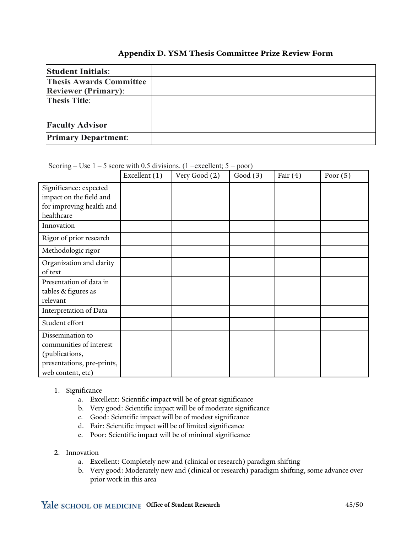#### **Appendix D. YSM Thesis Committee Prize Review Form**

| <b>Student Initials:</b>       |  |
|--------------------------------|--|
| <b>Thesis Awards Committee</b> |  |
| <b>Reviewer (Primary):</b>     |  |
| <b>Thesis Title:</b>           |  |
|                                |  |
| <b>Faculty Advisor</b>         |  |
| <b>Primary Department:</b>     |  |

Scoring – Use  $1 - 5$  score with 0.5 divisions. (1 = excellent;  $5 =$  poor)

|                                                                                                                  | Excellent (1) | Very Good (2) | Good $(3)$ | Fair $(4)$ | Poor $(5)$ |
|------------------------------------------------------------------------------------------------------------------|---------------|---------------|------------|------------|------------|
| Significance: expected<br>impact on the field and<br>for improving health and<br>healthcare                      |               |               |            |            |            |
| Innovation                                                                                                       |               |               |            |            |            |
| Rigor of prior research                                                                                          |               |               |            |            |            |
| Methodologic rigor                                                                                               |               |               |            |            |            |
| Organization and clarity<br>of text                                                                              |               |               |            |            |            |
| Presentation of data in<br>tables & figures as<br>relevant                                                       |               |               |            |            |            |
| Interpretation of Data                                                                                           |               |               |            |            |            |
| Student effort                                                                                                   |               |               |            |            |            |
| Dissemination to<br>communities of interest<br>(publications,<br>presentations, pre-prints,<br>web content, etc) |               |               |            |            |            |

#### 1. Significance

- a. Excellent: Scientific impact will be of great significance
- b. Very good: Scientific impact will be of moderate significance
- c. Good: Scientific impact will be of modest significance
- d. Fair: Scientific impact will be of limited significance
- e. Poor: Scientific impact will be of minimal significance

#### 2. Innovation

- a. Excellent: Completely new and (clinical or research) paradigm shifting
- b. Very good: Moderately new and (clinical or research) paradigm shifting, some advance over prior work in this area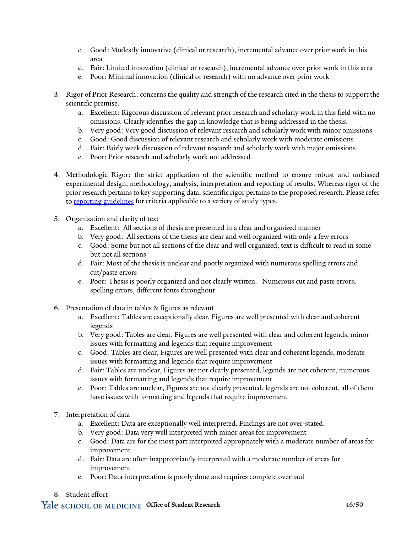- c. Good: Modestly innovative (clinical or research), incremental advance over prior work in this area
- d. Fair: Limited innovation (clinical or research), incremental advance over prior work in this area
- e. Poor: Minimal innovation (clinical or research) with no advance over prior work
- 3. Rigor of Prior Research: concerns the quality and strength of the research cited in the thesis to support the scientific premise.
	- a. Excellent: Rigorous discussion of relevant prior research and scholarly work in this field with no omissions. Clearly identifies the gap in knowledge that is being addressed in the thesis.
	- b. Very good: Very good discussion of relevant research and scholarly work with minor omissions
	- c. Good: Good discussion of relevant research and scholarly work with moderate omissions
	- d. Fair: Fairly week discussion of relevant research and scholarly work with major omissions
	- e. Poor: Prior research and scholarly work not addressed
- 4. Methodologic Rigor: the strict application of the scientific method to ensure robust and unbiased experimental design, methodology, analysis, interpretation and reporting of results. Whereas rigor of the prior research pertains to key supporting data, scientific rigor pertains to the proposed research. Please refer t[o reporting guidelines](https://www.equator-network.org/reporting-guidelines/) for criteria applicable to a variety of study types.
- 5. Organization and clarity of text
	- a. Excellent: All sections of thesis are presented in a clear and organized manner
	- b. Very good: All sections of the thesis are clear and well organized with only a few errors
	- c. Good: Some but not all sections of the clear and well organized, text is difficult to read in some but not all sections
	- d. Fair: Most of the thesis is unclear and poorly organized with numerous spelling errors and cut/paste errors
	- e. Poor: Thesis is poorly organized and not clearly written. Numerous cut and paste errors, spelling errors, different fonts throughout
- 6. Presentation of data in tables & figures as relevant
	- a. Excellent: Tables are exceptionally clear, Figures are well presented with clear and coherent legends
	- b. Very good: Tables are clear, Figures are well presented with clear and coherent legends, minor issues with formatting and legends that require improvement
	- c. Good: Tables are clear, Figures are well presented with clear and coherent legends, moderate issues with formatting and legends that require improvement
	- d. Fair: Tables are unclear, Figures are not clearly presented, legends are not coherent, numerous issues with formatting and legends that require improvement
	- e. Poor: Tables are unclear, Figures are not clearly presented, legends are not coherent, all of them have issues with formatting and legends that require improvement
- 7. Interpretation of data
	- a. Excellent: Data are exceptionally well interpreted. Findings are not over-stated.
	- b. Very good: Data very well interpreted with minor areas for improvement
	- c. Good: Data are for the most part interpreted appropriately with a moderate number of areas for improvement
	- d. Fair: Data are often inappropriately interpreted with a moderate number of areas for improvement
	- e. Poor: Data interpretation is poorly done and requires complete overhaul
- 8. Student effort

#### Yale SCHOOL OF MEDICINE Office of Student Research 46/50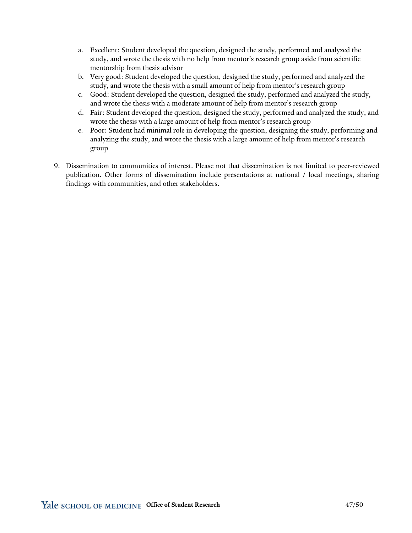- a. Excellent: Student developed the question, designed the study, performed and analyzed the study, and wrote the thesis with no help from mentor's research group aside from scientific mentorship from thesis advisor
- b. Very good: Student developed the question, designed the study, performed and analyzed the study, and wrote the thesis with a small amount of help from mentor's research group
- c. Good: Student developed the question, designed the study, performed and analyzed the study, and wrote the thesis with a moderate amount of help from mentor's research group
- d. Fair: Student developed the question, designed the study, performed and analyzed the study, and wrote the thesis with a large amount of help from mentor's research group
- e. Poor: Student had minimal role in developing the question, designing the study, performing and analyzing the study, and wrote the thesis with a large amount of help from mentor's research group
- 9. Dissemination to communities of interest. Please not that dissemination is not limited to peer-reviewed publication. Other forms of dissemination include presentations at national / local meetings, sharing findings with communities, and other stakeholders.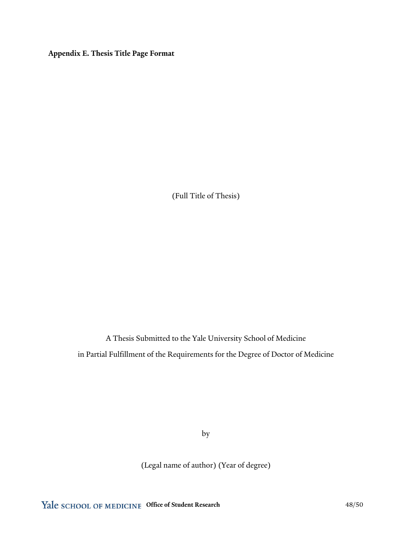**Appendix E. Thesis Title Page Format**

(Full Title of Thesis)

A Thesis Submitted to the Yale University School of Medicine in Partial Fulfillment of the Requirements for the Degree of Doctor of Medicine

by

(Legal name of author) (Year of degree)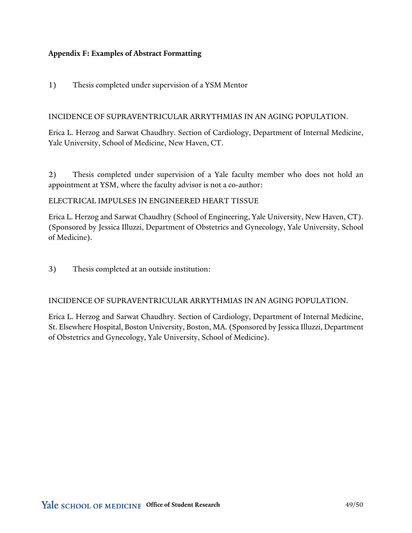#### **Appendix F: Examples of Abstract Formatting**

1) Thesis completed under supervision of a YSM Mentor

#### INCIDENCE OF SUPRAVENTRICULAR ARRYTHMIAS IN AN AGING POPULATION.

Erica L. Herzog and Sarwat Chaudhry. Section of Cardiology, Department of Internal Medicine, Yale University, School of Medicine, New Haven, CT.

2) Thesis completed under supervision of a Yale faculty member who does not hold an appointment at YSM, where the faculty advisor is not a co-author:

ELECTRICAL IMPULSES IN ENGINEERED HEART TISSUE

Erica L. Herzog and Sarwat Chaudhry (School of Engineering, Yale University, New Haven, CT). (Sponsored by Jessica Illuzzi, Department of Obstetrics and Gynecology, Yale University, School of Medicine).

3) Thesis completed at an outside institution:

INCIDENCE OF SUPRAVENTRICULAR ARRYTHMIAS IN AN AGING POPULATION.

Erica L. Herzog and Sarwat Chaudhry. Section of Cardiology, Department of Internal Medicine, St. Elsewhere Hospital, Boston University, Boston, MA. (Sponsored by Jessica Illuzzi, Department of Obstetrics and Gynecology, Yale University, School of Medicine).